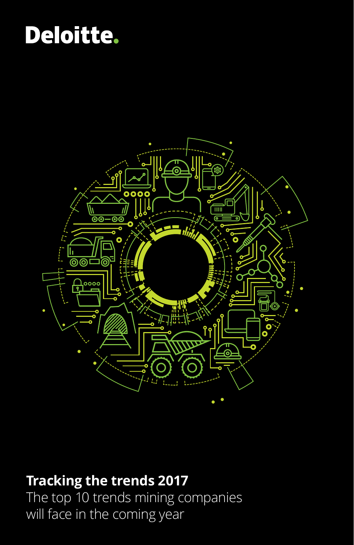# Deloitte.



### **Tracking the trends 2017**

The top 10 trends mining companies will face in the coming year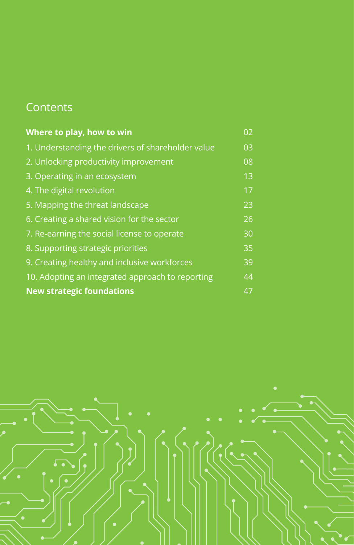### **Contents**

| Where to play, how to win                         | 02 |
|---------------------------------------------------|----|
| 1. Understanding the drivers of shareholder value | 03 |
| 2. Unlocking productivity improvement             | 08 |
| 3. Operating in an ecosystem                      | 13 |
| 4. The digital revolution                         | 17 |
| 5. Mapping the threat landscape                   | 23 |
| 6. Creating a shared vision for the sector        | 26 |
| 7. Re-earning the social license to operate       | 30 |
| 8. Supporting strategic priorities                | 35 |
| 9. Creating healthy and inclusive workforces      | 39 |
| 10. Adopting an integrated approach to reporting  | 44 |
| <b>New strategic foundations</b>                  | 47 |

 $\frac{1}{\epsilon}$ 

 $\bullet$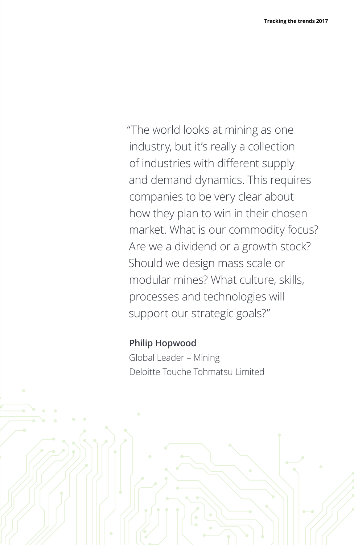"The world looks at mining as one industry, but it's really a collection of industries with different supply and demand dynamics. This requires companies to be very clear about how they plan to win in their chosen market. What is our commodity focus? Are we a dividend or a growth stock? Should we design mass scale or modular mines? What culture, skills, processes and technologies will support our strategic goals?"

#### **Philip Hopwood**

Global Leader – Mining Deloitte Touche Tohmatsu Limited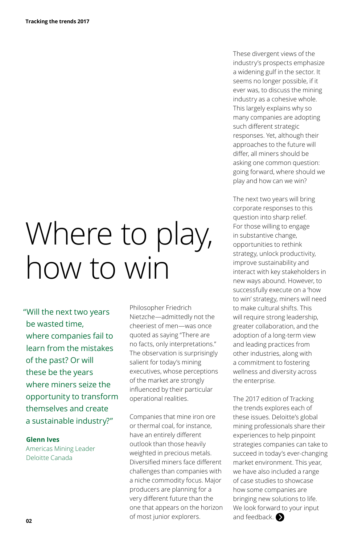# Where to play, how to win

"Will the next two years be wasted time, where companies fail to learn from the mistakes of the past? Or will these be the years where miners seize the opportunity to transform themselves and create a sustainable industry?"

#### **Glenn Ives**

Americas Mining Leader Deloitte Canada

Philosopher Friedrich Nietzche—admittedly not the cheeriest of men—was once quoted as saying "There are no facts, only interpretations." The observation is surprisingly salient for today's mining executives, whose perceptions of the market are strongly influenced by their particular operational realities.

Companies that mine iron ore or thermal coal, for instance, have an entirely different outlook than those heavily weighted in precious metals. Diversified miners face different challenges than companies with a niche commodity focus. Major producers are planning for a very different future than the one that appears on the horizon of most junior explorers.

These divergent views of the industry's prospects emphasize a widening gulf in the sector. It seems no longer possible, if it ever was, to discuss the mining industry as a cohesive whole. This largely explains why so many companies are adopting such different strategic responses. Yet, although their approaches to the future will differ, all miners should be asking one common question: going forward, where should we play and how can we win?

The next two years will bring corporate responses to this question into sharp relief. For those willing to engage in substantive change, opportunities to rethink strategy, unlock productivity, improve sustainability and interact with key stakeholders in new ways abound. However, to successfully execute on a 'how to win' strategy, miners will need to make cultural shifts. This will require strong leadership, greater collaboration, and the adoption of a long-term view and leading practices from other industries, along with a commitment to fostering wellness and diversity across the enterprise.

The 2017 edition of Tracking the trends explores each of these issues. Deloitte's global mining professionals share their experiences to help pinpoint strategies companies can take to succeed in today's ever-changing market environment. This year, we have also included a range of case studies to showcase how some companies are bringing new solutions to life. We look forward to your input and feedback.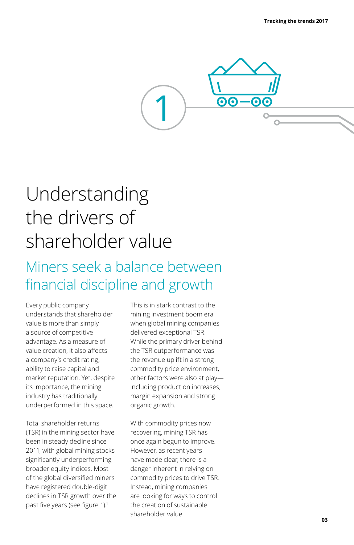

# Understanding the drivers of shareholder value

### Miners seek a balance between financial discipline and growth

Every public company understands that shareholder value is more than simply a source of competitive advantage. As a measure of value creation, it also affects a company's credit rating, ability to raise capital and market reputation. Yet, despite its importance, the mining industry has traditionally underperformed in this space.

Total shareholder returns (TSR) in the mining sector have been in steady decline since 2011, with global mining stocks significantly underperforming broader equity indices. Most of the global diversified miners have registered double-digit declines in TSR growth over the past five years (see figure 1).<sup>1</sup>

This is in stark contrast to the mining investment boom era when global mining companies delivered exceptional TSR. While the primary driver behind the TSR outperformance was the revenue uplift in a strong commodity price environment, other factors were also at play including production increases, margin expansion and strong organic growth.

With commodity prices now recovering, mining TSR has once again begun to improve. However, as recent years have made clear, there is a danger inherent in relying on commodity prices to drive TSR. Instead, mining companies are looking for ways to control the creation of sustainable shareholder value.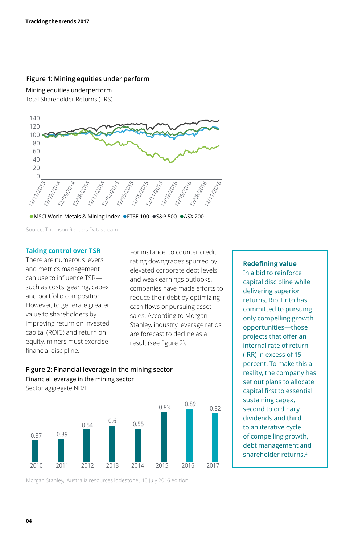#### **Figure 1: Mining equities under perform**

Mining equities underperform Total Shareholder Returns (TRS)



● MSCI World Metals & Mining Index ● FTSE 100 ● S&P 500 ● ASX 200

Source: Thomson Reuters Datastream

#### **Taking control over TSR**

There are numerous levers and metrics management can use to influence TSR such as costs, gearing, capex and portfolio composition. However, to generate greater value to shareholders by improving return on invested capital (ROIC) and return on equity, miners must exercise financial discipline.

For instance, to counter credit rating downgrades spurred by elevated corporate debt levels and weak earnings outlooks, companies have made efforts to reduce their debt by optimizing cash flows or pursuing asset sales. According to Morgan Stanley, industry leverage ratios are forecast to decline as a result (see figure 2).

#### **Redefining value**

In a bid to reinforce capital discipline while delivering superior returns, Rio Tinto has committed to pursuing only compelling growth opportunities—those projects that offer an internal rate of return (IRR) in excess of 15 percent. To make this a reality, the company has set out plans to allocate capital first to essential sustaining capex, second to ordinary dividends and third to an iterative cycle of compelling growth, debt management and shareholder returns.2



Sector aggregate ND/E



Morgan Stanley, 'Australia resources lodestone', 10 July 2016 edition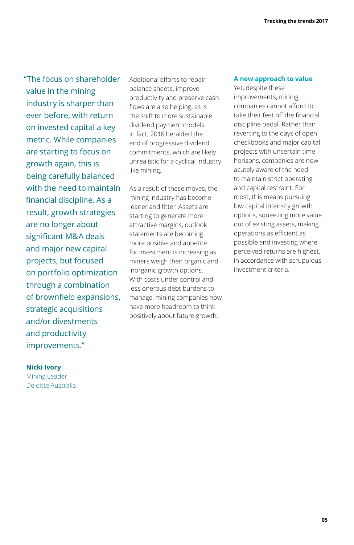"The focus on shareholder value in the mining industry is sharper than ever before, with return on invested capital a key metric. While companies are starting to focus on growth again, this is being carefully balanced with the need to maintain financial discipline. As a result, growth strategies are no longer about significant M&A deals and major new capital projects, but focused on portfolio optimization through a combination of brownfield expansions, strategic acquisitions and/or divestments and productivity improvements."

Additional efforts to repair balance sheets, improve productivity and preserve cash flows are also helping, as is the shift to more sustainable dividend payment models. In fact, 2016 heralded the end of progressive dividend commitments, which are likely unrealistic for a cyclical industry like mining.

As a result of these moves, the mining industry has become leaner and fitter. Assets are starting to generate more attractive margins, outlook statements are becoming more positive and appetite for investment is increasing as miners weigh their organic and inorganic growth options. With costs under control and less onerous debt burdens to manage, mining companies now have more headroom to think positively about future growth.

#### **A new approach to value**

Yet, despite these improvements, mining companies cannot afford to take their feet off the financial discipline pedal. Rather than reverting to the days of open checkbooks and major capital projects with uncertain time horizons, companies are now acutely aware of the need to maintain strict operating and capital restraint. For most, this means pursuing low capital intensity growth options, squeezing more value out of existing assets, making operations as efficient as possible and investing where perceived returns are highest, in accordance with scrupulous investment criteria.

#### **Nicki Ivory**

Mining Leader Deloitte Australia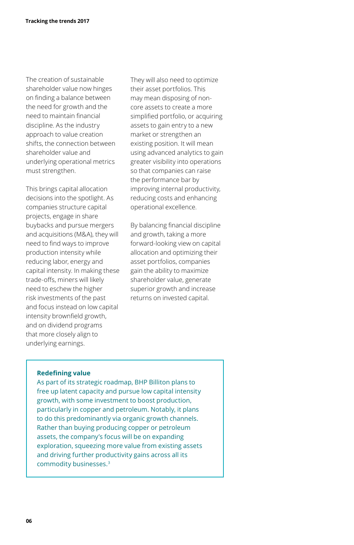The creation of sustainable shareholder value now hinges on finding a balance between the need for growth and the need to maintain financial discipline. As the industry approach to value creation shifts, the connection between shareholder value and underlying operational metrics must strengthen.

This brings capital allocation decisions into the spotlight. As companies structure capital projects, engage in share buybacks and pursue mergers and acquisitions (M&A), they will need to find ways to improve production intensity while reducing labor, energy and capital intensity. In making these trade-offs, miners will likely need to eschew the higher risk investments of the past and focus instead on low capital intensity brownfield growth, and on dividend programs that more closely align to underlying earnings.

They will also need to optimize their asset portfolios. This may mean disposing of noncore assets to create a more simplified portfolio, or acquiring assets to gain entry to a new market or strengthen an existing position. It will mean using advanced analytics to gain greater visibility into operations so that companies can raise the performance bar by improving internal productivity, reducing costs and enhancing operational excellence.

By balancing financial discipline and growth, taking a more forward-looking view on capital allocation and optimizing their asset portfolios, companies gain the ability to maximize shareholder value, generate superior growth and increase returns on invested capital.

#### **Redefining value**

As part of its strategic roadmap, BHP Billiton plans to free up latent capacity and pursue low capital intensity growth, with some investment to boost production, particularly in copper and petroleum. Notably, it plans to do this predominantly via organic growth channels. Rather than buying producing copper or petroleum assets, the company's focus will be on expanding exploration, squeezing more value from existing assets and driving further productivity gains across all its commodity businesses.<sup>3</sup>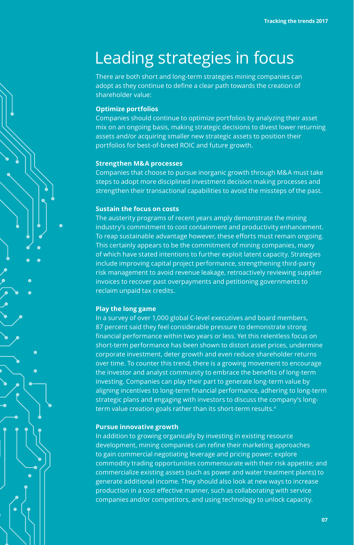### Leading strategies in focus

There are both short and long-term strategies mining companies can adopt as they continue to define a clear path towards the creation of shareholder value:

#### **Optimize portfolios**

Companies should continue to optimize portfolios by analyzing their asset mix on an ongoing basis, making strategic decisions to divest lower returning assets and/or acquiring smaller new strategic assets to position their portfolios for best-of-breed ROIC and future growth.

#### **Strengthen M&A processes**

Companies that choose to pursue inorganic growth through M&A must take steps to adopt more disciplined investment decision making processes and strengthen their transactional capabilities to avoid the missteps of the past.

#### **Sustain the focus on costs**

The austerity programs of recent years amply demonstrate the mining industry's commitment to cost containment and productivity enhancement. To reap sustainable advantage however, these efforts must remain ongoing. This certainly appears to be the commitment of mining companies, many of which have stated intentions to further exploit latent capacity. Strategies include improving capital project performance, strengthening third-party risk management to avoid revenue leakage, retroactively reviewing supplier invoices to recover past overpayments and petitioning governments to reclaim unpaid tax credits.

#### **Play the long game**

In a survey of over 1,000 global C-level executives and board members, 87 percent said they feel considerable pressure to demonstrate strong financial performance within two years or less. Yet this relentless focus on short-term performance has been shown to distort asset prices, undermine corporate investment, deter growth and even reduce shareholder returns over time. To counter this trend, there is a growing movement to encourage the investor and analyst community to embrace the benefits of long-term investing. Companies can play their part to generate long-term value by aligning incentives to long-term financial performance, adhering to long-term strategic plans and engaging with investors to discuss the company's longterm value creation goals rather than its short-term results.<sup>4</sup>

#### **Pursue innovative growth**

In addition to growing organically by investing in existing resource development, mining companies can refine their marketing approaches to gain commercial negotiating leverage and pricing power; explore commodity trading opportunities commensurate with their risk appetite; and commercialize existing assets (such as power and water treatment plants) to generate additional income. They should also look at new ways to increase production in a cost effective manner, such as collaborating with service companies and/or competitors, and using technology to unlock capacity.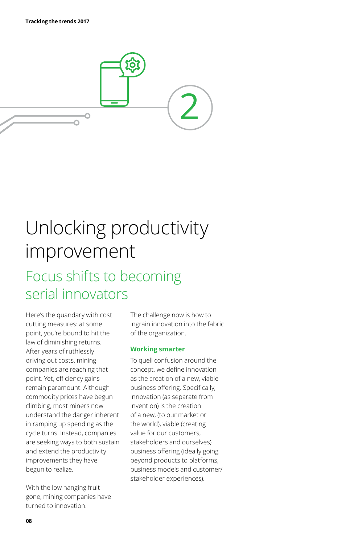

# Unlocking productivity improvement

### Focus shifts to becoming serial innovators

Here's the quandary with cost cutting measures: at some point, you're bound to hit the law of diminishing returns. After years of ruthlessly driving out costs, mining companies are reaching that point. Yet, efficiency gains remain paramount. Although commodity prices have begun climbing, most miners now understand the danger inherent in ramping up spending as the cycle turns. Instead, companies are seeking ways to both sustain and extend the productivity improvements they have begun to realize.

With the low hanging fruit gone, mining companies have turned to innovation.

The challenge now is how to ingrain innovation into the fabric of the organization.

#### **Working smarter**

To quell confusion around the concept, we define innovation as the creation of a new, viable business offering. Specifically, innovation (as separate from invention) is the creation of a new, (to our market or the world), viable (creating value for our customers, stakeholders and ourselves) business offering (ideally going beyond products to platforms, business models and customer/ stakeholder experiences).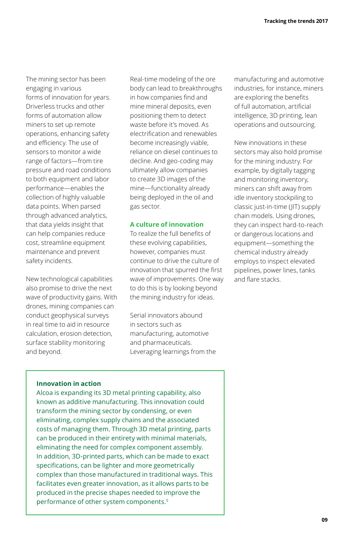The mining sector has been engaging in various forms of innovation for years. Driverless trucks and other forms of automation allow miners to set up remote operations, enhancing safety and efficiency. The use of sensors to monitor a wide range of factors—from tire pressure and road conditions to both equipment and labor performance—enables the collection of highly valuable data points. When parsed through advanced analytics, that data yields insight that can help companies reduce cost, streamline equipment maintenance and prevent safety incidents.

New technological capabilities also promise to drive the next wave of productivity gains. With drones, mining companies can conduct geophysical surveys in real time to aid in resource calculation, erosion detection, surface stability monitoring and beyond.

Real-time modeling of the ore body can lead to breakthroughs in how companies find and mine mineral deposits, even positioning them to detect waste before it's moved. As electrification and renewables become increasingly viable, reliance on diesel continues to decline. And geo-coding may ultimately allow companies to create 3D images of the mine—functionality already being deployed in the oil and gas sector.

#### **A culture of innovation**

To realize the full benefits of these evolving capabilities, however, companies must continue to drive the culture of innovation that spurred the first wave of improvements. One way to do this is by looking beyond the mining industry for ideas.

Serial innovators abound in sectors such as manufacturing, automotive and pharmaceuticals. Leveraging learnings from the manufacturing and automotive industries, for instance, miners are exploring the benefits of full automation, artificial intelligence, 3D printing, lean operations and outsourcing.

New innovations in these sectors may also hold promise for the mining industry. For example, by digitally tagging and monitoring inventory, miners can shift away from idle inventory stockpiling to classic just-in-time (JIT) supply chain models. Using drones, they can inspect hard-to-reach or dangerous locations and equipment—something the chemical industry already employs to inspect elevated pipelines, power lines, tanks and flare stacks.

#### **Innovation in action**

Alcoa is expanding its 3D metal printing capability, also known as additive manufacturing. This innovation could transform the mining sector by condensing, or even eliminating, complex supply chains and the associated costs of managing them. Through 3D metal printing, parts can be produced in their entirety with minimal materials, eliminating the need for complex component assembly. In addition, 3D-printed parts, which can be made to exact specifications, can be lighter and more geometrically complex than those manufactured in traditional ways. This facilitates even greater innovation, as it allows parts to be produced in the precise shapes needed to improve the performance of other system components.5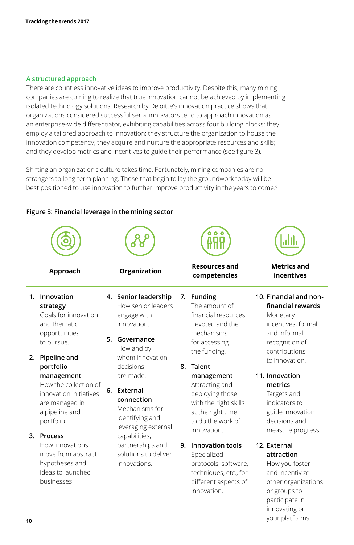#### **A structured approach**

There are countless innovative ideas to improve productivity. Despite this, many mining companies are coming to realize that true innovation cannot be achieved by implementing isolated technology solutions. Research by Deloitte's innovation practice shows that organizations considered successful serial innovators tend to approach innovation as an enterprise-wide differentiator, exhibiting capabilities across four building blocks: they employ a tailored approach to innovation; they structure the organization to house the innovation competency; they acquire and nurture the appropriate resources and skills; and they develop metrics and incentives to guide their performance (see figure 3).

Shifting an organization's culture takes time. Fortunately, mining companies are no strangers to long-term planning. Those that begin to lay the groundwork today will be best positioned to use innovation to further improve productivity in the years to come.<sup>6</sup>





innovating on your platforms.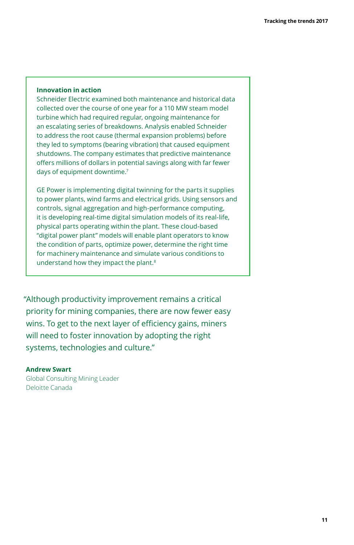#### **Innovation in action**

Schneider Electric examined both maintenance and historical data collected over the course of one year for a 110 MW steam model turbine which had required regular, ongoing maintenance for an escalating series of breakdowns. Analysis enabled Schneider to address the root cause (thermal expansion problems) before they led to symptoms (bearing vibration) that caused equipment shutdowns. The company estimates that predictive maintenance offers millions of dollars in potential savings along with far fewer days of equipment downtime.<sup>7</sup>

GE Power is implementing digital twinning for the parts it supplies to power plants, wind farms and electrical grids. Using sensors and controls, signal aggregation and high-performance computing, it is developing real-time digital simulation models of its real-life, physical parts operating within the plant. These cloud-based "digital power plant" models will enable plant operators to know the condition of parts, optimize power, determine the right time for machinery maintenance and simulate various conditions to understand how they impact the plant.<sup>8</sup>

"Although productivity improvement remains a critical priority for mining companies, there are now fewer easy wins. To get to the next layer of efficiency gains, miners will need to foster innovation by adopting the right systems, technologies and culture."

#### **Andrew Swart**

Global Consulting Mining Leader Deloitte Canada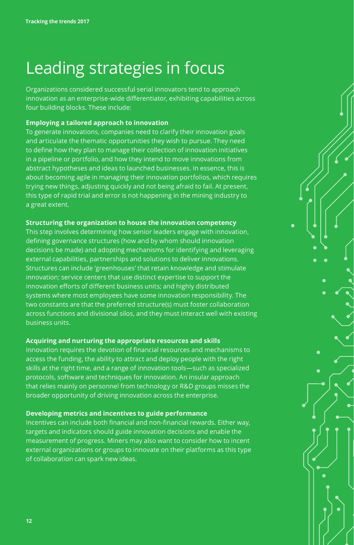# Leading strategies in focus

Organizations considered successful serial innovators tend to approach innovation as an enterprise-wide differentiator, exhibiting capabilities across four building blocks. These include:

#### **Employing a tailored approach to innovation**

To generate innovations, companies need to clarify their innovation goals and articulate the thematic opportunities they wish to pursue. They need to define how they plan to manage their collection of innovation initiatives in a pipeline or portfolio, and how they intend to move innovations from abstract hypotheses and ideas to launched businesses. In essence, this is about becoming agile in managing their innovation portfolios, which requires trying new things, adjusting quickly and not being afraid to fail. At present, this type of rapid trial and error is not happening in the mining industry to a great extent.

#### **Structuring the organization to house the innovation competency**

This step involves determining how senior leaders engage with innovation, defining governance structures (how and by whom should innovation decisions be made) and adopting mechanisms for identifying and leveraging external capabilities, partnerships and solutions to deliver innovations. Structures can include 'greenhouses' that retain knowledge and stimulate innovation; service centers that use distinct expertise to support the innovation efforts of different business units; and highly distributed systems where most employees have some innovation responsibility. The two constants are that the preferred structure(s) must foster collaboration across functions and divisional silos, and they must interact well with existing business units.

#### **Acquiring and nurturing the appropriate resources and skills**

Innovation requires the devotion of financial resources and mechanisms to access the funding, the ability to attract and deploy people with the right skills at the right time, and a range of innovation tools—such as specialized protocols, software and techniques for innovation. An insular approach that relies mainly on personnel from technology or R&D groups misses the broader opportunity of driving innovation across the enterprise.

#### **Developing metrics and incentives to guide performance**

Incentives can include both financial and non-financial rewards. Either way, targets and indicators should guide innovation decisions and enable the measurement of progress. Miners may also want to consider how to incent external organizations or groups to innovate on their platforms as this type of collaboration can spark new ideas.

**14**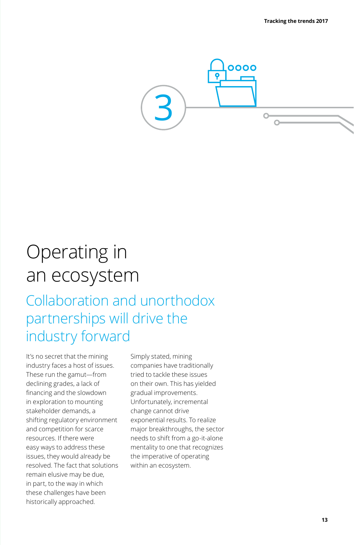

# Operating in an ecosystem

### Collaboration and unorthodox partnerships will drive the industry forward

It's no secret that the mining industry faces a host of issues. These run the gamut—from declining grades, a lack of financing and the slowdown in exploration to mounting stakeholder demands, a shifting regulatory environment and competition for scarce resources. If there were easy ways to address these issues, they would already be resolved. The fact that solutions remain elusive may be due, in part, to the way in which these challenges have been historically approached.

Simply stated, mining companies have traditionally tried to tackle these issues on their own. This has yielded gradual improvements. Unfortunately, incremental change cannot drive exponential results. To realize major breakthroughs, the sector needs to shift from a go-it-alone mentality to one that recognizes the imperative of operating within an ecosystem.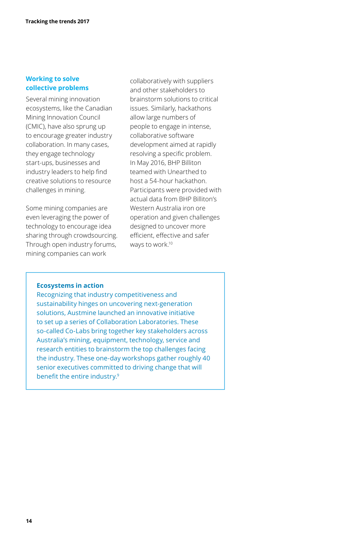#### **Working to solve collective problems**

Several mining innovation ecosystems, like the Canadian Mining Innovation Council (CMIC), have also sprung up to encourage greater industry collaboration. In many cases, they engage technology start-ups, businesses and industry leaders to help find creative solutions to resource challenges in mining.

Some mining companies are even leveraging the power of technology to encourage idea sharing through crowdsourcing. Through open industry forums, mining companies can work

collaboratively with suppliers and other stakeholders to brainstorm solutions to critical issues. Similarly, hackathons allow large numbers of people to engage in intense, collaborative software development aimed at rapidly resolving a specific problem. In May 2016, BHP Billiton teamed with Unearthed to host a 54-hour hackathon. Participants were provided with actual data from BHP Billiton's Western Australia iron ore operation and given challenges designed to uncover more efficient, effective and safer ways to work.<sup>10</sup>

#### **Ecosystems in action**

Recognizing that industry competitiveness and sustainability hinges on uncovering next-generation solutions, Austmine launched an innovative initiative to set up a series of Collaboration Laboratories. These so-called Co-Labs bring together key stakeholders across Australia's mining, equipment, technology, service and research entities to brainstorm the top challenges facing the industry. These one-day workshops gather roughly 40 senior executives committed to driving change that will benefit the entire industry.9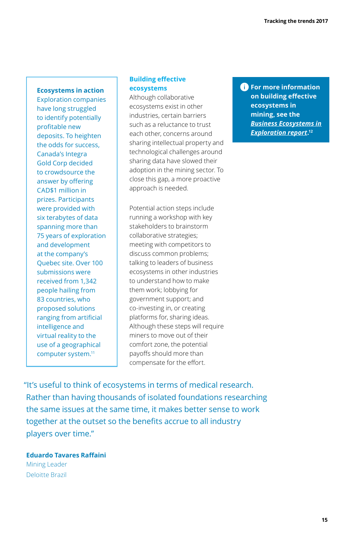#### **Ecosystems in action**

Exploration companies have long struggled to identify potentially profitable new deposits. To heighten the odds for success, Canada's Integra Gold Corp decided to crowdsource the answer by offering CAD\$1 million in prizes. Participants were provided with six terabytes of data spanning more than 75 years of exploration and development at the company's Quebec site. Over 100 submissions were received from 1,342 people hailing from 83 countries, who proposed solutions ranging from artificial intelligence and virtual reality to the use of a geographical computer system.<sup>11</sup>

#### **Building effective ecosystems**

Although collaborative ecosystems exist in other industries, certain barriers such as a reluctance to trust each other, concerns around sharing intellectual property and technological challenges around sharing data have slowed their adoption in the mining sector. To close this gap, a more proactive approach is needed.

Potential action steps include running a workshop with key stakeholders to brainstorm collaborative strategies; meeting with competitors to discuss common problems; talking to leaders of business ecosystems in other industries to understand how to make them work; lobbying for government support; and co-investing in, or creating platforms for, sharing ideas. Although these steps will require miners to move out of their comfort zone, the potential payoffs should more than compensate for the effort.

*<u>B* For more information</u> **on building effective ecosystems in mining, see the**  *[Business Ecosystems in](http://www2.deloitte.com/ca/en/pages/energy-and-resources/articles/business-ecosystem-in-exploration.html)  [Exploration report](http://www2.deloitte.com/ca/en/pages/energy-and-resources/articles/business-ecosystem-in-exploration.html)***. 12**

"It's useful to think of ecosystems in terms of medical research. Rather than having thousands of isolated foundations researching the same issues at the same time, it makes better sense to work together at the outset so the benefits accrue to all industry players over time."

**Eduardo Tavares Raffaini** Mining Leader Deloitte Brazil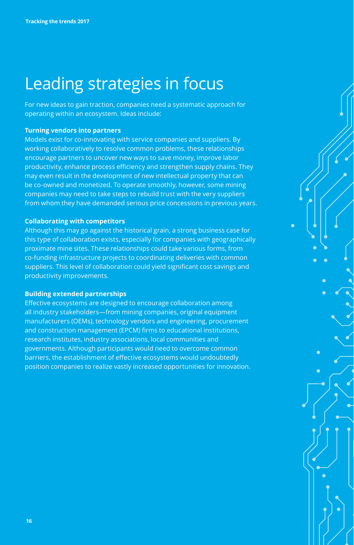### Leading strategies in focus

For new ideas to gain traction, companies need a systematic approach for operating within an ecosystem. Ideas include:

#### **Turning vendors into partners**

Models exist for co-innovating with service companies and suppliers. By working collaboratively to resolve common problems, these relationships encourage partners to uncover new ways to save money, improve labor productivity, enhance process efficiency and strengthen supply chains. They may even result in the development of new intellectual property that can be co-owned and monetized. To operate smoothly, however, some mining companies may need to take steps to rebuild trust with the very suppliers from whom they have demanded serious price concessions in previous years.

#### **Collaborating with competitors**

Although this may go against the historical grain, a strong business case for this type of collaboration exists, especially for companies with geographically proximate mine sites. These relationships could take various forms, from co-funding infrastructure projects to coordinating deliveries with common suppliers. This level of collaboration could yield significant cost savings and productivity improvements.

#### **Building extended partnerships**

Effective ecosystems are designed to encourage collaboration among all industry stakeholders—from mining companies, original equipment manufacturers (OEMs), technology vendors and engineering, procurement and construction management (EPCM) firms to educational institutions, research institutes, industry associations, local communities and governments. Although participants would need to overcome common barriers, the establishment of effective ecosystems would undoubtedly position companies to realize vastly increased opportunities for innovation.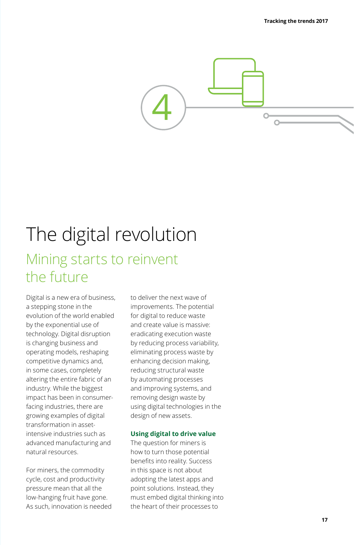

# The digital revolution

### Mining starts to reinvent the future

Digital is a new era of business, a stepping stone in the evolution of the world enabled by the exponential use of technology. Digital disruption is changing business and operating models, reshaping competitive dynamics and, in some cases, completely altering the entire fabric of an industry. While the biggest impact has been in consumerfacing industries, there are growing examples of digital transformation in assetintensive industries such as advanced manufacturing and natural resources.

For miners, the commodity cycle, cost and productivity pressure mean that all the low-hanging fruit have gone. As such, innovation is needed to deliver the next wave of improvements. The potential for digital to reduce waste and create value is massive: eradicating execution waste by reducing process variability, eliminating process waste by enhancing decision making, reducing structural waste by automating processes and improving systems, and removing design waste by using digital technologies in the design of new assets.

#### **Using digital to drive value**

The question for miners is how to turn those potential benefits into reality. Success in this space is not about adopting the latest apps and point solutions. Instead, they must embed digital thinking into the heart of their processes to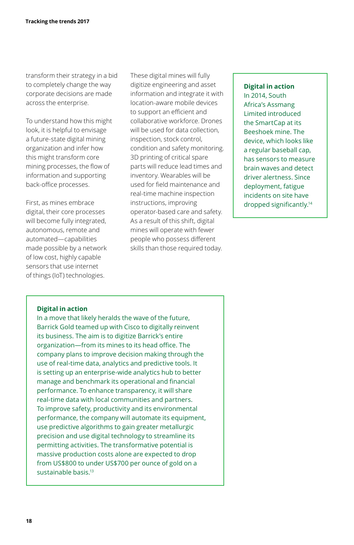transform their strategy in a bid to completely change the way corporate decisions are made across the enterprise.

To understand how this might look, it is helpful to envisage a future-state digital mining organization and infer how this might transform core mining processes, the flow of information and supporting back-office processes.

First, as mines embrace digital, their core processes will become fully integrated, autonomous, remote and automated—capabilities made possible by a network of low cost, highly capable sensors that use internet of things (IoT) technologies.

These digital mines will fully digitize engineering and asset information and integrate it with location-aware mobile devices to support an efficient and collaborative workforce. Drones will be used for data collection, inspection, stock control, condition and safety monitoring. 3D printing of critical spare parts will reduce lead times and inventory. Wearables will be used for field maintenance and real-time machine inspection instructions, improving operator-based care and safety. As a result of this shift, digital mines will operate with fewer people who possess different skills than those required today.

#### **Digital in action**

In 2014, South Africa's Assmang Limited introduced the SmartCap at its Beeshoek mine. The device, which looks like a regular baseball cap, has sensors to measure brain waves and detect driver alertness. Since deployment, fatigue incidents on site have dropped significantly.<sup>14</sup>

#### **Digital in action**

In a move that likely heralds the wave of the future, Barrick Gold teamed up with Cisco to digitally reinvent its business. The aim is to digitize Barrick's entire organization—from its mines to its head office. The company plans to improve decision making through the use of real-time data, analytics and predictive tools. It is setting up an enterprise-wide analytics hub to better manage and benchmark its operational and financial performance. To enhance transparency, it will share real-time data with local communities and partners. To improve safety, productivity and its environmental performance, the company will automate its equipment, use predictive algorithms to gain greater metallurgic precision and use digital technology to streamline its permitting activities. The transformative potential is massive production costs alone are expected to drop from US\$800 to under US\$700 per ounce of gold on a sustainable basis.<sup>13</sup>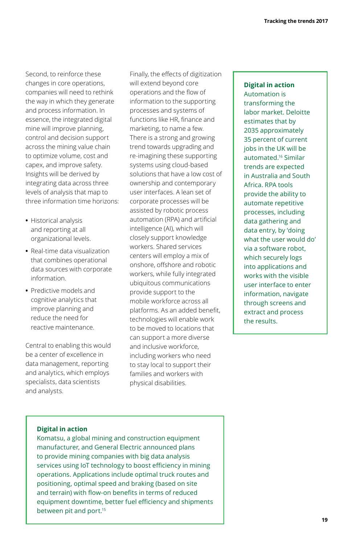Second, to reinforce these changes in core operations, companies will need to rethink the way in which they generate and process information. In essence, the integrated digital mine will improve planning, control and decision support across the mining value chain to optimize volume, cost and capex, and improve safety. Insights will be derived by integrating data across three levels of analysis that map to three information time horizons:

- **•** Historical analysis and reporting at all organizational levels.
- **•** Real-time data visualization that combines operational data sources with corporate information.
- **•** Predictive models and cognitive analytics that improve planning and reduce the need for reactive maintenance.

Central to enabling this would be a center of excellence in data management, reporting and analytics, which employs specialists, data scientists and analysts.

Finally, the effects of digitization will extend beyond core operations and the flow of information to the supporting processes and systems of functions like HR, finance and marketing, to name a few. There is a strong and growing trend towards upgrading and re-imagining these supporting systems using cloud-based solutions that have a low cost of ownership and contemporary user interfaces. A lean set of corporate processes will be assisted by robotic process automation (RPA) and artificial intelligence (AI), which will closely support knowledge workers. Shared services centers will employ a mix of onshore, offshore and robotic workers, while fully integrated ubiquitous communications provide support to the mobile workforce across all platforms. As an added benefit, technologies will enable work to be moved to locations that can support a more diverse and inclusive workforce, including workers who need to stay local to support their families and workers with physical disabilities.

#### **Digital in action**

Automation is transforming the labor market. Deloitte estimates that by 2035 approximately 35 percent of current jobs in the UK will be automated.16 Similar trends are expected in Australia and South Africa. RPA tools provide the ability to automate repetitive processes, including data gathering and data entry, by 'doing what the user would do' via a software robot, which securely logs into applications and works with the visible user interface to enter information, navigate through screens and extract and process the results.

#### **Digital in action**

Komatsu, a global mining and construction equipment manufacturer, and General Electric announced plans to provide mining companies with big data analysis services using IoT technology to boost efficiency in mining operations. Applications include optimal truck routes and positioning, optimal speed and braking (based on site and terrain) with flow-on benefits in terms of reduced equipment downtime, better fuel efficiency and shipments between pit and port.<sup>15</sup>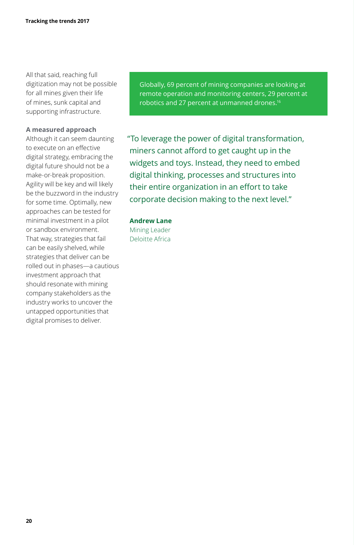All that said, reaching full digitization may not be possible for all mines given their life of mines, sunk capital and supporting infrastructure.

#### **A measured approach**

Although it can seem daunting to execute on an effective digital strategy, embracing the digital future should not be a make-or-break proposition. Agility will be key and will likely be the buzzword in the industry for some time. Optimally, new approaches can be tested for minimal investment in a pilot or sandbox environment. That way, strategies that fail can be easily shelved, while strategies that deliver can be rolled out in phases—a cautious investment approach that should resonate with mining company stakeholders as the industry works to uncover the untapped opportunities that digital promises to deliver.

Globally, 69 percent of mining companies are looking at remote operation and monitoring centers, 29 percent at robotics and 27 percent at unmanned drones.<sup>16</sup>

"To leverage the power of digital transformation, miners cannot afford to get caught up in the widgets and toys. Instead, they need to embed digital thinking, processes and structures into their entire organization in an effort to take corporate decision making to the next level."

**Andrew Lane** Mining Leader Deloitte Africa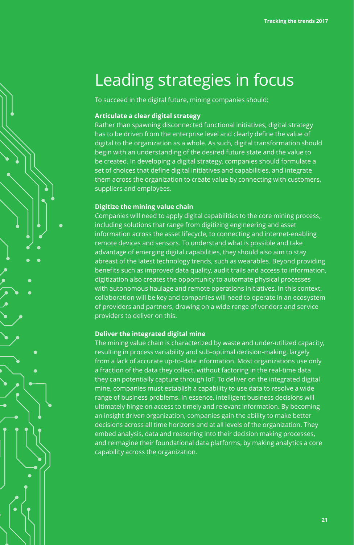### Leading strategies in focus

To succeed in the digital future, mining companies should:

#### **Articulate a clear digital strategy**

Rather than spawning disconnected functional initiatives, digital strategy has to be driven from the enterprise level and clearly define the value of digital to the organization as a whole. As such, digital transformation should begin with an understanding of the desired future state and the value to be created. In developing a digital strategy, companies should formulate a set of choices that define digital initiatives and capabilities, and integrate them across the organization to create value by connecting with customers, suppliers and employees.

#### **Digitize the mining value chain**

Companies will need to apply digital capabilities to the core mining process, including solutions that range from digitizing engineering and asset information across the asset lifecycle, to connecting and internet-enabling remote devices and sensors. To understand what is possible and take advantage of emerging digital capabilities, they should also aim to stay abreast of the latest technology trends, such as wearables. Beyond providing benefits such as improved data quality, audit trails and access to information, digitization also creates the opportunity to automate physical processes with autonomous haulage and remote operations initiatives. In this context, collaboration will be key and companies will need to operate in an ecosystem of providers and partners, drawing on a wide range of vendors and service providers to deliver on this.

#### **Deliver the integrated digital mine**

The mining value chain is characterized by waste and under-utilized capacity, resulting in process variability and sub-optimal decision-making, largely from a lack of accurate up-to-date information. Most organizations use only a fraction of the data they collect, without factoring in the real-time data they can potentially capture through IoT. To deliver on the integrated digital mine, companies must establish a capability to use data to resolve a wide range of business problems. In essence, intelligent business decisions will ultimately hinge on access to timely and relevant information. By becoming an insight driven organization, companies gain the ability to make better decisions across all time horizons and at all levels of the organization. They embed analysis, data and reasoning into their decision making processes, and reimagine their foundational data platforms, by making analytics a core capability across the organization.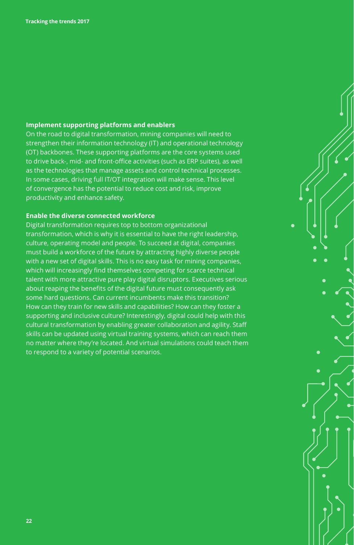#### **Implement supporting platforms and enablers**

On the road to digital transformation, mining companies will need to strengthen their information technology (IT) and operational technology (OT) backbones. These supporting platforms are the core systems used to drive back-, mid- and front-office activities (such as ERP suites), as well as the technologies that manage assets and control technical processes. In some cases, driving full IT/OT integration will make sense. This level of convergence has the potential to reduce cost and risk, improve productivity and enhance safety.

#### **Enable the diverse connected workforce**

Digital transformation requires top to bottom organizational transformation, which is why it is essential to have the right leadership, culture, operating model and people. To succeed at digital, companies must build a workforce of the future by attracting highly diverse people with a new set of digital skills. This is no easy task for mining companies, which will increasingly find themselves competing for scarce technical talent with more attractive pure play digital disruptors. Executives serious about reaping the benefits of the digital future must consequently ask some hard questions. Can current incumbents make this transition? How can they train for new skills and capabilities? How can they foster a supporting and inclusive culture? Interestingly, digital could help with this cultural transformation by enabling greater collaboration and agility. Staff skills can be updated using virtual training systems, which can reach them no matter where they're located. And virtual simulations could teach them to respond to a variety of potential scenarios.

**22**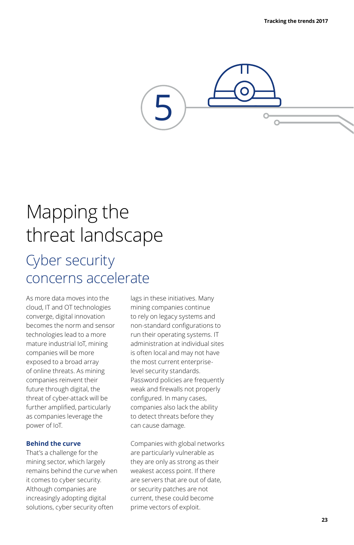

# Mapping the threat landscape

### Cyber security concerns accelerate

As more data moves into the cloud, IT and OT technologies converge, digital innovation becomes the norm and sensor technologies lead to a more mature industrial IoT, mining companies will be more exposed to a broad array of online threats. As mining companies reinvent their future through digital, the threat of cyber-attack will be further amplified, particularly as companies leverage the power of IoT.

#### **Behind the curve**

That's a challenge for the mining sector, which largely remains behind the curve when it comes to cyber security. Although companies are increasingly adopting digital solutions, cyber security often

lags in these initiatives. Many mining companies continue to rely on legacy systems and non-standard configurations to run their operating systems. IT administration at individual sites is often local and may not have the most current enterpriselevel security standards. Password policies are frequently weak and firewalls not properly configured. In many cases, companies also lack the ability to detect threats before they can cause damage.

Companies with global networks are particularly vulnerable as they are only as strong as their weakest access point. If there are servers that are out of date, or security patches are not current, these could become prime vectors of exploit.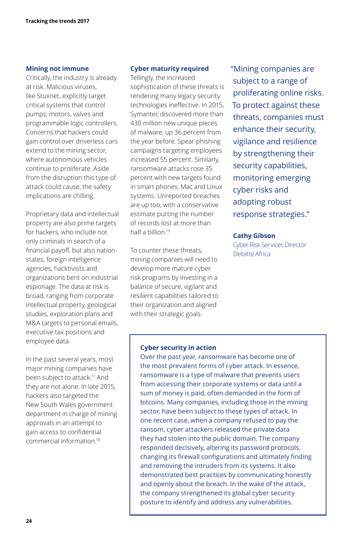#### **Mining not immune**

Critically, the industry is already at risk. Malicious viruses, like Stuxnet, explicitly target critical systems that control pumps, motors, valves and programmable logic controllers. Concerns that hackers could gain control over driverless cars extend to the mining sector, where autonomous vehicles continue to proliferate. Aside from the disruption this type of attack could cause, the safety implications are chilling.

Proprietary data and intellectual property are also prime targets for hackers, who include not only criminals in search of a financial payoff, but also nationstates, foreign intelligence agencies, hacktivists and organizations bent on industrial espionage. The data at risk is broad, ranging from corporate intellectual property, geological studies, exploration plans and M&A targets to personal emails, executive tax positions and employee data.

In the past several years, most major mining companies have been subject to attack.<sup>17</sup> And they are not alone. In late 2015, hackers also targeted the New South Wales government department in charge of mining approvals in an attempt to gain access to confidential commercial information.18

#### **Cyber maturity required**

Tellingly, the increased sophistication of these threats is rendering many legacy security technologies ineffective. In 2015, Symantec discovered more than 430 million new unique pieces of malware, up 36 percent from the year before. Spear-phishing campaigns targeting employees increased 55 percent. Similarly, ransomware attacks rose 35 percent with new targets found in smart phones, Mac and Linux systems. Unreported breaches are up too, with a conservative estimate putting the number of records lost at more than half a billion.<sup>19</sup>

To counter these threats, mining companies will need to develop more mature cyber risk programs by investing in a balance of secure, vigilant and resilient capabilities tailored to their organization and aligned with their strategic goals.

"Mining companies are subject to a range of proliferating online risks. To protect against these threats, companies must enhance their security, vigilance and resilience by strengthening their security capabilities, monitoring emerging cyber risks and adopting robust response strategies."

#### **Cathy Gibson**

Cyber Risk Services Director Deloitte Africa

#### **Cyber security in action**

Over the past year, ransomware has become one of the most prevalent forms of cyber attack. In essence, ransomware is a type of malware that prevents users from accessing their corporate systems or data until a sum of money is paid, often demanded in the form of bitcoins. Many companies, including those in the mining sector, have been subject to these types of attack. In one recent case, when a company refused to pay the ransom, cyber attackers released the private data they had stolen into the public domain. The company responded decisively, altering its password protocols, changing its firewall configurations and ultimately finding and removing the intruders from its systems. It also demonstrated best practices by communicating honestly and openly about the breach. In the wake of the attack, the company strengthened its global cyber security posture to identify and address any vulnerabilities.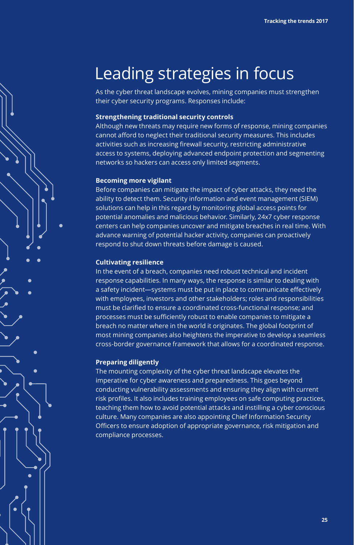### Leading strategies in focus

As the cyber threat landscape evolves, mining companies must strengthen their cyber security programs. Responses include:

#### **Strengthening traditional security controls**

Although new threats may require new forms of response, mining companies cannot afford to neglect their traditional security measures. This includes activities such as increasing firewall security, restricting administrative access to systems, deploying advanced endpoint protection and segmenting networks so hackers can access only limited segments.

#### **Becoming more vigilant**

Before companies can mitigate the impact of cyber attacks, they need the ability to detect them. Security information and event management (SIEM) solutions can help in this regard by monitoring global access points for potential anomalies and malicious behavior. Similarly, 24x7 cyber response centers can help companies uncover and mitigate breaches in real time. With advance warning of potential hacker activity, companies can proactively respond to shut down threats before damage is caused.

#### **Cultivating resilience**

In the event of a breach, companies need robust technical and incident response capabilities. In many ways, the response is similar to dealing with a safety incident—systems must be put in place to communicate effectively with employees, investors and other stakeholders; roles and responsibilities must be clarified to ensure a coordinated cross-functional response; and processes must be sufficiently robust to enable companies to mitigate a breach no matter where in the world it originates. The global footprint of most mining companies also heightens the imperative to develop a seamless cross-border governance framework that allows for a coordinated response.

#### **Preparing diligently**

**27**

The mounting complexity of the cyber threat landscape elevates the imperative for cyber awareness and preparedness. This goes beyond conducting vulnerability assessments and ensuring they align with current risk profiles. It also includes training employees on safe computing practices, teaching them how to avoid potential attacks and instilling a cyber conscious culture. Many companies are also appointing Chief Information Security Officers to ensure adoption of appropriate governance, risk mitigation and compliance processes.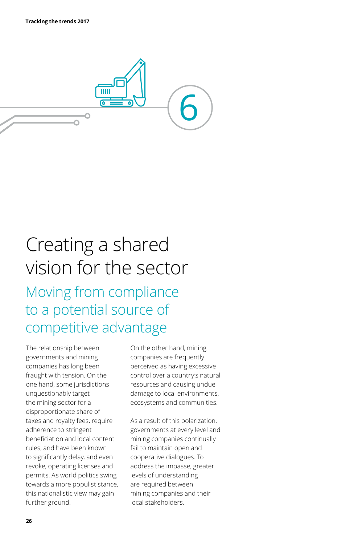

# Creating a shared vision for the sector

Moving from compliance to a potential source of competitive advantage

The relationship between governments and mining companies has long been fraught with tension. On the one hand, some jurisdictions unquestionably target the mining sector for a disproportionate share of taxes and royalty fees, require adherence to stringent beneficiation and local content rules, and have been known to significantly delay, and even revoke, operating licenses and permits. As world politics swing towards a more populist stance, this nationalistic view may gain further ground.

On the other hand, mining companies are frequently perceived as having excessive control over a country's natural resources and causing undue damage to local environments, ecosystems and communities.

As a result of this polarization, governments at every level and mining companies continually fail to maintain open and cooperative dialogues. To address the impasse, greater levels of understanding are required between mining companies and their local stakeholders.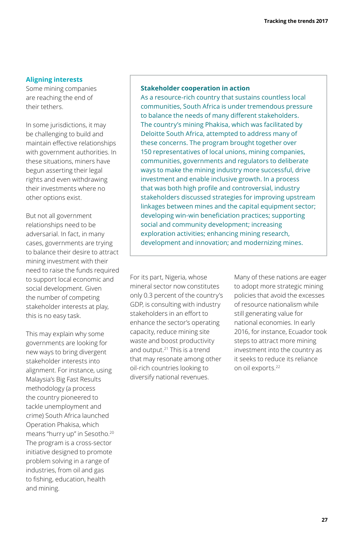#### **Aligning interests**

Some mining companies are reaching the end of their tethers.

In some jurisdictions, it may be challenging to build and maintain effective relationships with government authorities. In these situations, miners have begun asserting their legal rights and even withdrawing their investments where no other options exist.

But not all government relationships need to be adversarial. In fact, in many cases, governments are trying to balance their desire to attract mining investment with their need to raise the funds required to support local economic and social development. Given the number of competing stakeholder interests at play, this is no easy task.

This may explain why some governments are looking for new ways to bring divergent stakeholder interests into alignment. For instance, using Malaysia's Big Fast Results methodology (a process the country pioneered to tackle unemployment and crime) South Africa launched Operation Phakisa, which means "hurry up" in Sesotho.<sup>20</sup> The program is a cross-sector initiative designed to promote problem solving in a range of industries, from oil and gas to fishing, education, health and mining.

#### **Stakeholder cooperation in action**

As a resource-rich country that sustains countless local communities, South Africa is under tremendous pressure to balance the needs of many different stakeholders. The country's mining Phakisa, which was facilitated by Deloitte South Africa, attempted to address many of these concerns. The program brought together over 150 representatives of local unions, mining companies, communities, governments and regulators to deliberate ways to make the mining industry more successful, drive investment and enable inclusive growth. In a process that was both high profile and controversial, industry stakeholders discussed strategies for improving upstream linkages between mines and the capital equipment sector; developing win-win beneficiation practices; supporting social and community development; increasing exploration activities; enhancing mining research, development and innovation; and modernizing mines.

For its part, Nigeria, whose mineral sector now constitutes only 0.3 percent of the country's GDP, is consulting with industry stakeholders in an effort to enhance the sector's operating capacity, reduce mining site waste and boost productivity and output.<sup>21</sup> This is a trend that may resonate among other oil-rich countries looking to diversify national revenues.

Many of these nations are eager to adopt more strategic mining policies that avoid the excesses of resource nationalism while still generating value for national economies. In early 2016, for instance, Ecuador took steps to attract more mining investment into the country as it seeks to reduce its reliance on oil exports.<sup>22</sup>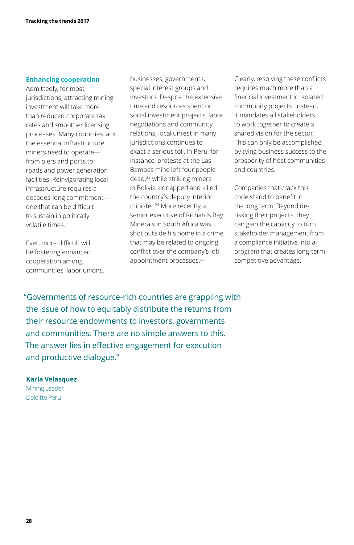#### **Enhancing cooperation**

Admittedly, for most jurisdictions, attracting mining investment will take more than reduced corporate tax rates and smoother licensing processes. Many countries lack the essential infrastructure miners need to operate from piers and ports to roads and power generation facilities. Reinvigorating local infrastructure requires a decades-long commitment one that can be difficult to sustain in politically volatile times.

Even more difficult will be fostering enhanced cooperation among communities, labor unions, businesses, governments, special interest groups and investors. Despite the extensive time and resources spent on social investment projects, labor negotiations and community relations, local unrest in many jurisdictions continues to exact a serious toll. In Peru, for instance, protests at the Las Bambas mine left four people dead,<sup>23</sup> while striking miners in Bolivia kidnapped and killed the country's deputy interior minister.24 More recently, a senior executive of Richards Bay Minerals in South Africa was shot outside his home in a crime that may be related to ongoing conflict over the company's job appointment processes.<sup>25</sup>

Clearly, resolving these conflicts requires much more than a financial investment in isolated community projects. Instead, it mandates all stakeholders to work together to create a shared vision for the sector. This can only be accomplished by tying business success to the prosperity of host communities and countries.

Companies that crack this code stand to benefit in the long term. Beyond derisking their projects, they can gain the capacity to turn stakeholder management from a compliance initiative into a program that creates long-term competitive advantage.

"Governments of resource-rich countries are grappling with the issue of how to equitably distribute the returns from their resource endowments to investors, governments and communities. There are no simple answers to this. The answer lies in effective engagement for execution and productive dialogue."

#### **Karla Velasquez**

Mining Leader Deloitte Peru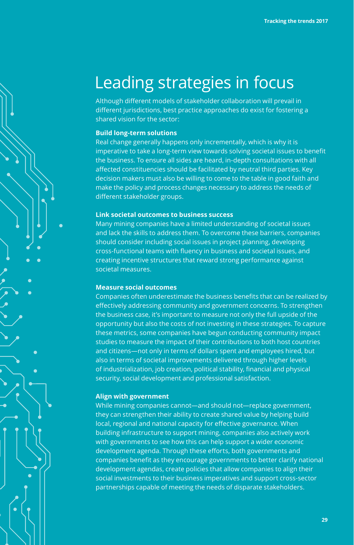### Leading strategies in focus

Although different models of stakeholder collaboration will prevail in different jurisdictions, best practice approaches do exist for fostering a shared vision for the sector:

#### **Build long-term solutions**

Real change generally happens only incrementally, which is why it is imperative to take a long-term view towards solving societal issues to benefit the business. To ensure all sides are heard, in-depth consultations with all affected constituencies should be facilitated by neutral third parties. Key decision makers must also be willing to come to the table in good faith and make the policy and process changes necessary to address the needs of different stakeholder groups.

#### **Link societal outcomes to business success**

Many mining companies have a limited understanding of societal issues and lack the skills to address them. To overcome these barriers, companies should consider including social issues in project planning, developing cross-functional teams with fluency in business and societal issues, and creating incentive structures that reward strong performance against societal measures.

#### **Measure social outcomes**

Companies often underestimate the business benefits that can be realized by effectively addressing community and government concerns. To strengthen the business case, it's important to measure not only the full upside of the opportunity but also the costs of not investing in these strategies. To capture these metrics, some companies have begun conducting community impact studies to measure the impact of their contributions to both host countries and citizens—not only in terms of dollars spent and employees hired, but also in terms of societal improvements delivered through higher levels of industrialization, job creation, political stability, financial and physical security, social development and professional satisfaction.

#### **Align with government**

While mining companies cannot—and should not—replace government, they can strengthen their ability to create shared value by helping build local, regional and national capacity for effective governance. When building infrastructure to support mining, companies also actively work with governments to see how this can help support a wider economic development agenda. Through these efforts, both governments and companies benefit as they encourage governments to better clarify national development agendas, create policies that allow companies to align their social investments to their business imperatives and support cross-sector partnerships capable of meeting the needs of disparate stakeholders.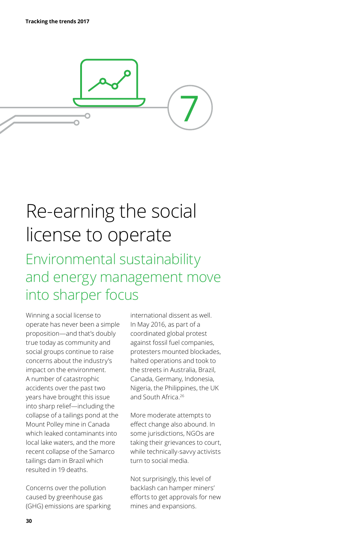

# Re-earning the social license to operate

### Environmental sustainability and energy management move into sharper focus

Winning a social license to operate has never been a simple proposition—and that's doubly true today as community and social groups continue to raise concerns about the industry's impact on the environment. A number of catastrophic accidents over the past two years have brought this issue into sharp relief—including the collapse of a tailings pond at the Mount Polley mine in Canada which leaked contaminants into local lake waters, and the more recent collapse of the Samarco tailings dam in Brazil which resulted in 19 deaths.

Concerns over the pollution caused by greenhouse gas (GHG) emissions are sparking international dissent as well. In May 2016, as part of a coordinated global protest against fossil fuel companies, protesters mounted blockades, halted operations and took to the streets in Australia, Brazil, Canada, Germany, Indonesia, Nigeria, the Philippines, the UK and South Africa.26

More moderate attempts to effect change also abound. In some jurisdictions, NGOs are taking their grievances to court, while technically-savvy activists turn to social media.

Not surprisingly, this level of backlash can hamper miners' efforts to get approvals for new mines and expansions.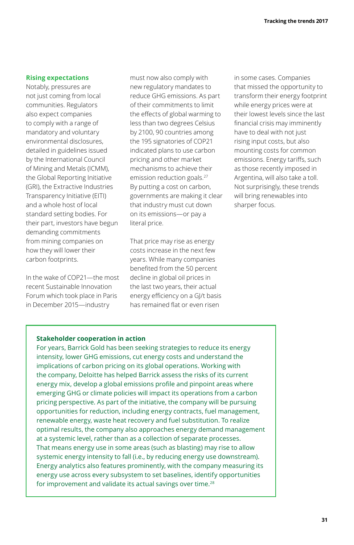#### **Rising expectations**

Notably, pressures are not just coming from local communities. Regulators also expect companies to comply with a range of mandatory and voluntary environmental disclosures, detailed in guidelines issued by the International Council of Mining and Metals (ICMM), the Global Reporting Initiative (GRI), the Extractive Industries Transparency Initiative (EITI) and a whole host of local standard setting bodies. For their part, investors have begun demanding commitments from mining companies on how they will lower their carbon footprints.

In the wake of COP21—the most recent Sustainable Innovation Forum which took place in Paris in December 2015—industry

must now also comply with new regulatory mandates to reduce GHG emissions. As part of their commitments to limit the effects of global warming to less than two degrees Celsius by 2100, 90 countries among the 195 signatories of COP21 indicated plans to use carbon pricing and other market mechanisms to achieve their emission reduction goals.<sup>27</sup> By putting a cost on carbon, governments are making it clear that industry must cut down on its emissions—or pay a literal price.

That price may rise as energy costs increase in the next few years. While many companies benefited from the 50 percent decline in global oil prices in the last two years, their actual energy efficiency on a GJ/t basis has remained flat or even risen

in some cases. Companies that missed the opportunity to transform their energy footprint while energy prices were at their lowest levels since the last financial crisis may imminently have to deal with not just rising input costs, but also mounting costs for common emissions. Energy tariffs, such as those recently imposed in Argentina, will also take a toll. Not surprisingly, these trends will bring renewables into sharper focus.

#### **Stakeholder cooperation in action**

For years, Barrick Gold has been seeking strategies to reduce its energy intensity, lower GHG emissions, cut energy costs and understand the implications of carbon pricing on its global operations. Working with the company, Deloitte has helped Barrick assess the risks of its current energy mix, develop a global emissions profile and pinpoint areas where emerging GHG or climate policies will impact its operations from a carbon pricing perspective. As part of the initiative, the company will be pursuing opportunities for reduction, including energy contracts, fuel management, renewable energy, waste heat recovery and fuel substitution. To realize optimal results, the company also approaches energy demand management at a systemic level, rather than as a collection of separate processes. That means energy use in some areas (such as blasting) may rise to allow systemic energy intensity to fall (i.e., by reducing energy use downstream). Energy analytics also features prominently, with the company measuring its energy use across every subsystem to set baselines, identify opportunities for improvement and validate its actual savings over time.<sup>28</sup>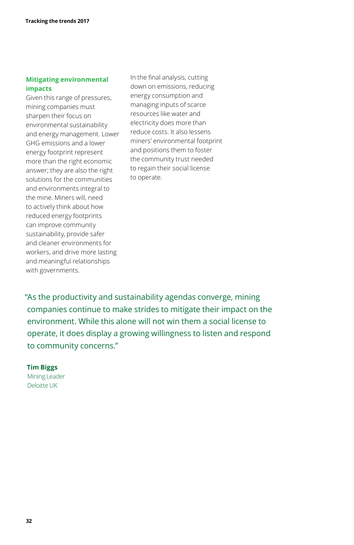#### **Mitigating environmental impacts**

Given this range of pressures, mining companies must sharpen their focus on environmental sustainability and energy management. Lower GHG emissions and a lower energy footprint represent more than the right economic answer; they are also the right solutions for the communities and environments integral to the mine. Miners will, need to actively think about how reduced energy footprints can improve community sustainability, provide safer and cleaner environments for workers, and drive more lasting and meaningful relationships with governments.

In the final analysis, cutting down on emissions, reducing energy consumption and managing inputs of scarce resources like water and electricity does more than reduce costs. It also lessens miners' environmental footprint and positions them to foster the community trust needed to regain their social license to operate.

"As the productivity and sustainability agendas converge, mining companies continue to make strides to mitigate their impact on the environment. While this alone will not win them a social license to operate, it does display a growing willingness to listen and respond to community concerns."

#### **Tim Biggs**

Mining Leader Deloitte UK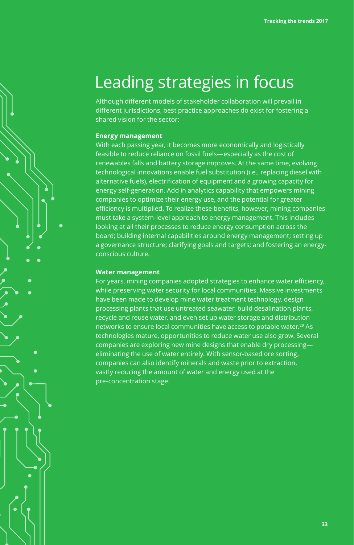### Leading strategies in focus

Although different models of stakeholder collaboration will prevail in different jurisdictions, best practice approaches do exist for fostering a shared vision for the sector:

#### **Energy management**

With each passing year, it becomes more economically and logistically feasible to reduce reliance on fossil fuels—especially as the cost of renewables falls and battery storage improves. At the same time, evolving technological innovations enable fuel substitution (i.e., replacing diesel with alternative fuels), electrification of equipment and a growing capacity for energy self-generation. Add in analytics capability that empowers mining companies to optimize their energy use, and the potential for greater efficiency is multiplied. To realize these benefits, however, mining companies must take a system-level approach to energy management. This includes looking at all their processes to reduce energy consumption across the board; building internal capabilities around energy management; setting up a governance structure; clarifying goals and targets; and fostering an energyconscious culture.

#### **Water management**

For years, mining companies adopted strategies to enhance water efficiency, while preserving water security for local communities. Massive investments have been made to develop mine water treatment technology, design processing plants that use untreated seawater, build desalination plants, recycle and reuse water, and even set up water storage and distribution networks to ensure local communities have access to potable water.29 As technologies mature, opportunities to reduce water use also grow. Several companies are exploring new mine designs that enable dry processing eliminating the use of water entirely. With sensor-based ore sorting, companies can also identify minerals and waste prior to extraction, vastly reducing the amount of water and energy used at the pre-concentration stage.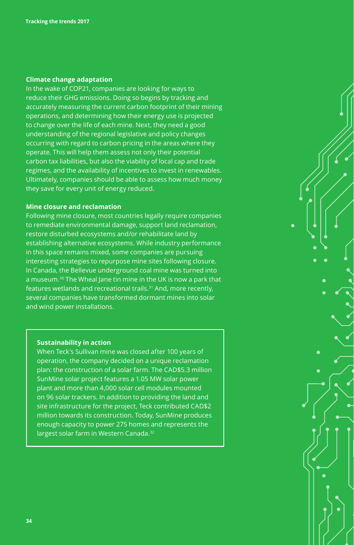#### **Climate change adaptation**

In the wake of COP21, companies are looking for ways to reduce their GHG emissions. Doing so begins by tracking and accurately measuring the current carbon footprint of their mining operations, and determining how their energy use is projected to change over the life of each mine. Next, they need a good understanding of the regional legislative and policy changes occurring with regard to carbon pricing in the areas where they operate. This will help them assess not only their potential carbon tax liabilities, but also the viability of local cap and trade regimes, and the availability of incentives to invest in renewables. Ultimately, companies should be able to assess how much money they save for every unit of energy reduced.

#### **Mine closure and reclamation**

Following mine closure, most countries legally require companies to remediate environmental damage, support land reclamation, restore disturbed ecosystems and/or rehabilitate land by establishing alternative ecosystems. While industry performance in this space remains mixed, some companies are pursuing interesting strategies to repurpose mine sites following closure. In Canada, the Bellevue underground coal mine was turned into a museum.30 The Wheal Jane tin mine in the UK is now a park that features wetlands and recreational trails.<sup>31</sup> And, more recently, several companies have transformed dormant mines into solar and wind power installations.

#### **Sustainability in action**

When Teck's Sullivan mine was closed after 100 years of operation, the company decided on a unique reclamation plan: the construction of a solar farm. The CAD\$5.3 million SunMine solar project features a 1.05 MW solar power plant and more than 4,000 solar cell modules mounted on 96 solar trackers. In addition to providing the land and site infrastructure for the project, Teck contributed CAD\$2 million towards its construction. Today, SunMine produces enough capacity to power 275 homes and represents the largest solar farm in Western Canada.<sup>32</sup>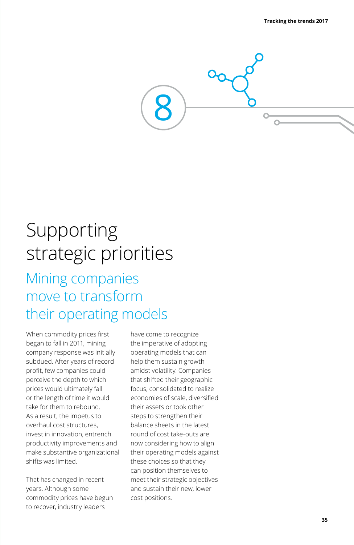

# Supporting strategic priorities

### Mining companies move to transform their operating models

When commodity prices first began to fall in 2011, mining company response was initially subdued. After years of record profit, few companies could perceive the depth to which prices would ultimately fall or the length of time it would take for them to rebound. As a result, the impetus to overhaul cost structures, invest in innovation, entrench productivity improvements and make substantive organizational shifts was limited.

That has changed in recent years. Although some commodity prices have begun to recover, industry leaders

have come to recognize the imperative of adopting operating models that can help them sustain growth amidst volatility. Companies that shifted their geographic focus, consolidated to realize economies of scale, diversified their assets or took other steps to strengthen their balance sheets in the latest round of cost take-outs are now considering how to align their operating models against these choices so that they can position themselves to meet their strategic objectives and sustain their new, lower cost positions.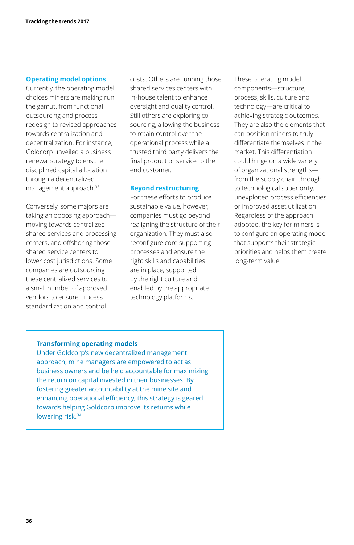#### **Operating model options**

Currently, the operating model choices miners are making run the gamut, from functional outsourcing and process redesign to revised approaches towards centralization and decentralization. For instance, Goldcorp unveiled a business renewal strategy to ensure disciplined capital allocation through a decentralized management approach.<sup>33</sup>

Conversely, some majors are taking an opposing approach moving towards centralized shared services and processing centers, and offshoring those shared service centers to lower cost jurisdictions. Some companies are outsourcing these centralized services to a small number of approved vendors to ensure process standardization and control

costs. Others are running those shared services centers with in-house talent to enhance oversight and quality control. Still others are exploring cosourcing, allowing the business to retain control over the operational process while a trusted third party delivers the final product or service to the end customer.

#### **Beyond restructuring**

For these efforts to produce sustainable value, however, companies must go beyond realigning the structure of their organization. They must also reconfigure core supporting processes and ensure the right skills and capabilities are in place, supported by the right culture and enabled by the appropriate technology platforms.

These operating model components—structure, process, skills, culture and technology—are critical to achieving strategic outcomes. They are also the elements that can position miners to truly differentiate themselves in the market. This differentiation could hinge on a wide variety of organizational strengths from the supply chain through to technological superiority, unexploited process efficiencies or improved asset utilization. Regardless of the approach adopted, the key for miners is to configure an operating model that supports their strategic priorities and helps them create long-term value.

#### **Transforming operating models**

Under Goldcorp's new decentralized management approach, mine managers are empowered to act as business owners and be held accountable for maximizing the return on capital invested in their businesses. By fostering greater accountability at the mine site and enhancing operational efficiency, this strategy is geared towards helping Goldcorp improve its returns while lowering risk.<sup>34</sup>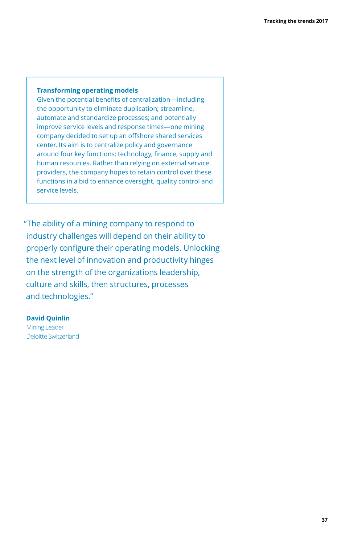#### **Transforming operating models**

Given the potential benefits of centralization—including the opportunity to eliminate duplication; streamline, automate and standardize processes; and potentially improve service levels and response times—one mining company decided to set up an offshore shared services center. Its aim is to centralize policy and governance around four key functions: technology, finance, supply and human resources. Rather than relying on external service providers, the company hopes to retain control over these functions in a bid to enhance oversight, quality control and service levels.

"The ability of a mining company to respond to industry challenges will depend on their ability to properly configure their operating models. Unlocking the next level of innovation and productivity hinges on the strength of the organizations leadership, culture and skills, then structures, processes and technologies."

#### **David Quinlin**

Mining Leader Deloitte Switzerland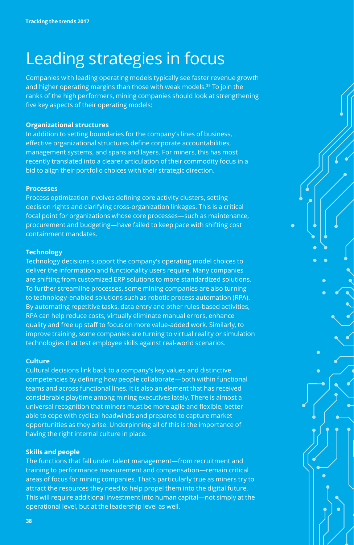### Leading strategies in focus

Companies with leading operating models typically see faster revenue growth and higher operating margins than those with weak models.<sup>35</sup> To join the ranks of the high performers, mining companies should look at strengthening five key aspects of their operating models:

#### **Organizational structures**

In addition to setting boundaries for the company's lines of business, effective organizational structures define corporate accountabilities, management systems, and spans and layers. For miners, this has most recently translated into a clearer articulation of their commodity focus in a bid to align their portfolio choices with their strategic direction.

#### **Processes**

Process optimization involves defining core activity clusters, setting decision rights and clarifying cross-organization linkages. This is a critical focal point for organizations whose core processes—such as maintenance, procurement and budgeting—have failed to keep pace with shifting cost containment mandates.

#### **Technology**

Technology decisions support the company's operating model choices to deliver the information and functionality users require. Many companies are shifting from customized ERP solutions to more standardized solutions. To further streamline processes, some mining companies are also turning to technology-enabled solutions such as robotic process automation (RPA). By automating repetitive tasks, data entry and other rules-based activities, RPA can help reduce costs, virtually eliminate manual errors, enhance quality and free up staff to focus on more value-added work. Similarly, to improve training, some companies are turning to virtual reality or simulation technologies that test employee skills against real-world scenarios.

#### **Culture**

Cultural decisions link back to a company's key values and distinctive competencies by defining how people collaborate—both within functional teams and across functional lines. It is also an element that has received considerable playtime among mining executives lately. There is almost a universal recognition that miners must be more agile and flexible, better able to cope with cyclical headwinds and prepared to capture market opportunities as they arise. Underpinning all of this is the importance of having the right internal culture in place.

#### **Skills and people**

The functions that fall under talent management—from recruitment and training to performance measurement and compensation—remain critical areas of focus for mining companies. That's particularly true as miners try to attract the resources they need to help propel them into the digital future. This will require additional investment into human capital—not simply at the operational level, but at the leadership level as well.

**40**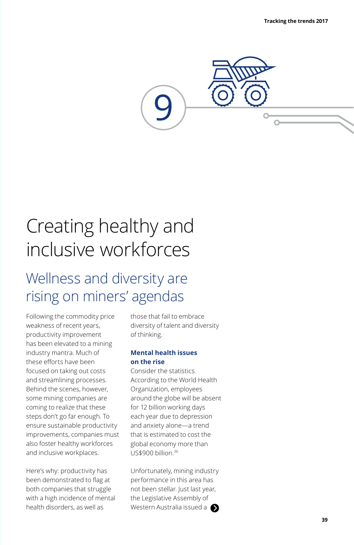

# Creating healthy and inclusive workforces

### Wellness and diversity are rising on miners' agendas

Following the commodity price weakness of recent years, productivity improvement has been elevated to a mining industry mantra. Much of these efforts have been focused on taking out costs and streamlining processes. Behind the scenes, however, some mining companies are coming to realize that these steps don't go far enough. To ensure sustainable productivity improvements, companies must also foster healthy workforces and inclusive workplaces.

Here's why: productivity has been demonstrated to flag at both companies that struggle with a high incidence of mental health disorders, as well as

those that fail to embrace diversity of talent and diversity of thinking.

#### **Mental health issues on the rise**

Consider the statistics. According to the World Health Organization, employees around the globe will be absent for 12 billion working days each year due to depression and anxiety alone—a trend that is estimated to cost the global economy more than US\$900 billion.<sup>36</sup>

Unfortunately, mining industry performance in this area has not been stellar. Just last year, the Legislative Assembly of Western Australia issued a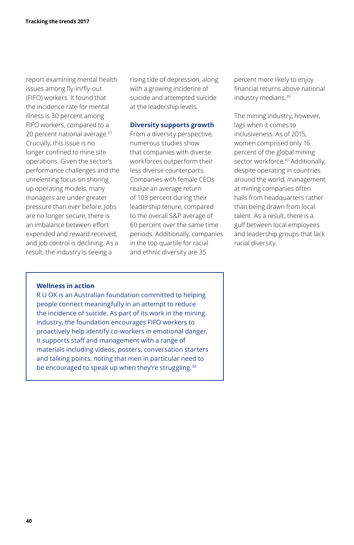report examining mental health issues among fly-in/fly-out (FIFO) workers. It found that the incidence rate for mental illness is 30 percent among FIFO workers, compared to a 20 percent national average.<sup>37</sup> Crucially, this issue is no longer confined to mine site operations. Given the sector's performance challenges and the unrelenting focus on shoring up operating models, many managers are under greater pressure than ever before. Jobs are no longer secure, there is an imbalance between effort expended and reward received, and job control is declining. As a result, the industry is seeing a

rising tide of depression, along with a growing incidence of suicide and attempted suicide at the leadership levels.

#### **Diversity supports growth**

From a diversity perspective, numerous studies show that companies with diverse workforces outperform their less diverse counterparts. Companies with female CEOs realize an average return of 103 percent during their leadership tenure, compared to the overall S&P average of 69 percent over the same time periods. Additionally, companies in the top quartile for racial and ethnic diversity are 35

percent more likely to enjoy financial returns above national industry medians.<sup>39</sup>

The mining industry, however, lags when it comes to inclusiveness. As of 2015, women comprised only 16 percent of the global mining sector workforce.<sup>40</sup> Additionally, despite operating in countries around the world, management at mining companies often hails from headquarters rather than being drawn from local talent. As a result, there is a gulf between local employees and leadership groups that lack racial diversity.

#### **Wellness in action**

R U OK is an Australian foundation committed to helping people connect meaningfully in an attempt to reduce the incidence of suicide. As part of its work in the mining industry, the foundation encourages FIFO workers to proactively help identify co-workers in emotional danger. It supports staff and management with a range of materials including videos, posters, conversation starters and talking points, noting that men in particular need to be encouraged to speak up when they're struggling.<sup>38</sup>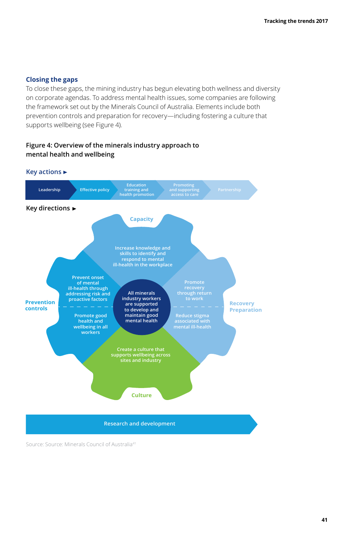#### **Closing the gaps**

To close these gaps, the mining industry has begun elevating both wellness and diversity on corporate agendas. To address mental health issues, some companies are following the framework set out by the Minerals Council of Australia. Elements include both prevention controls and preparation for recovery—including fostering a culture that supports wellbeing (see Figure 4).

#### **Figure 4: Overview of the minerals industry approach to mental health and wellbeing**



Source: Source: Minerals Council of Australia<sup>41</sup>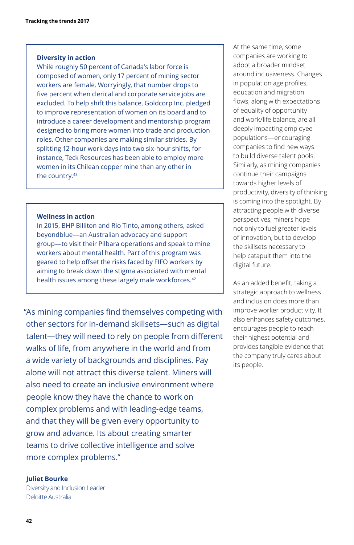#### **Diversity in action**

While roughly 50 percent of Canada's labor force is composed of women, only 17 percent of mining sector workers are female. Worryingly, that number drops to five percent when clerical and corporate service jobs are excluded. To help shift this balance, Goldcorp Inc. pledged to improve representation of women on its board and to introduce a career development and mentorship program designed to bring more women into trade and production roles. Other companies are making similar strides. By splitting 12-hour work days into two six-hour shifts, for instance, Teck Resources has been able to employ more women in its Chilean copper mine than any other in the country.<sup>43</sup>

#### **Wellness in action**

In 2015, BHP Billiton and Rio Tinto, among others, asked beyondblue—an Australian advocacy and support group—to visit their Pilbara operations and speak to mine workers about mental health. Part of this program was geared to help offset the risks faced by FIFO workers by aiming to break down the stigma associated with mental health issues among these largely male workforces.<sup>42</sup>

"As mining companies find themselves competing with other sectors for in-demand skillsets—such as digital talent—they will need to rely on people from different walks of life, from anywhere in the world and from a wide variety of backgrounds and disciplines. Pay alone will not attract this diverse talent. Miners will also need to create an inclusive environment where people know they have the chance to work on complex problems and with leading-edge teams, and that they will be given every opportunity to grow and advance. Its about creating smarter teams to drive collective intelligence and solve more complex problems."

#### **Juliet Bourke**

Diversity and Inclusion Leader Deloitte Australia

At the same time, some companies are working to adopt a broader mindset around inclusiveness. Changes in population age profiles, education and migration flows, along with expectations of equality of opportunity and work/life balance, are all deeply impacting employee populations—encouraging companies to find new ways to build diverse talent pools. Similarly, as mining companies continue their campaigns towards higher levels of productivity, diversity of thinking is coming into the spotlight. By attracting people with diverse perspectives, miners hope not only to fuel greater levels of innovation, but to develop the skillsets necessary to help catapult them into the digital future.

As an added benefit, taking a strategic approach to wellness and inclusion does more than improve worker productivity. It also enhances safety outcomes, encourages people to reach their highest potential and provides tangible evidence that the company truly cares about its people.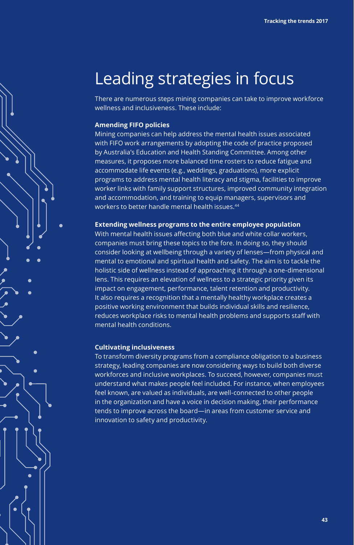### Leading strategies in focus

There are numerous steps mining companies can take to improve workforce wellness and inclusiveness. These include:

#### **Amending FIFO policies**

Mining companies can help address the mental health issues associated with FIFO work arrangements by adopting the code of practice proposed by Australia's Education and Health Standing Committee. Among other measures, it proposes more balanced time rosters to reduce fatigue and accommodate life events (e.g., weddings, graduations), more explicit programs to address mental health literacy and stigma, facilities to improve worker links with family support structures, improved community integration and accommodation, and training to equip managers, supervisors and workers to better handle mental health issues.<sup>44</sup>

#### **Extending wellness programs to the entire employee population**

With mental health issues affecting both blue and white collar workers, companies must bring these topics to the fore. In doing so, they should consider looking at wellbeing through a variety of lenses—from physical and mental to emotional and spiritual health and safety. The aim is to tackle the holistic side of wellness instead of approaching it through a one-dimensional lens. This requires an elevation of wellness to a strategic priority given its impact on engagement, performance, talent retention and productivity. It also requires a recognition that a mentally healthy workplace creates a positive working environment that builds individual skills and resilience, reduces workplace risks to mental health problems and supports staff with mental health conditions.

#### **Cultivating inclusiveness**

**45**

To transform diversity programs from a compliance obligation to a business strategy, leading companies are now considering ways to build both diverse workforces and inclusive workplaces. To succeed, however, companies must understand what makes people feel included. For instance, when employees feel known, are valued as individuals, are well-connected to other people in the organization and have a voice in decision making, their performance tends to improve across the board—in areas from customer service and innovation to safety and productivity.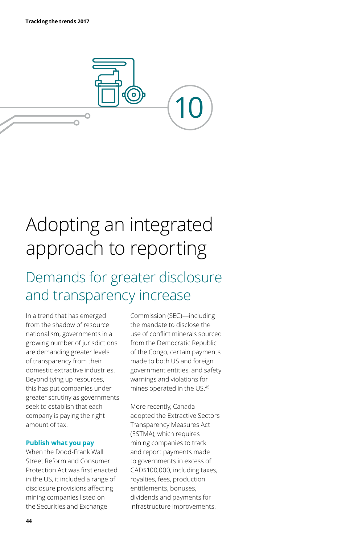

# Adopting an integrated approach to reporting

### Demands for greater disclosure and transparency increase

In a trend that has emerged from the shadow of resource nationalism, governments in a growing number of jurisdictions are demanding greater levels of transparency from their domestic extractive industries. Beyond tying up resources, this has put companies under greater scrutiny as governments seek to establish that each company is paying the right amount of tax.

#### **Publish what you pay**

When the Dodd-Frank Wall Street Reform and Consumer Protection Act was first enacted in the US, it included a range of disclosure provisions affecting mining companies listed on the Securities and Exchange

Commission (SEC)—including the mandate to disclose the use of conflict minerals sourced from the Democratic Republic of the Congo, certain payments made to both US and foreign government entities, and safety warnings and violations for mines operated in the US.45

More recently, Canada adopted the Extractive Sectors Transparency Measures Act (ESTMA), which requires mining companies to track and report payments made to governments in excess of CAD\$100,000, including taxes, royalties, fees, production entitlements, bonuses, dividends and payments for infrastructure improvements.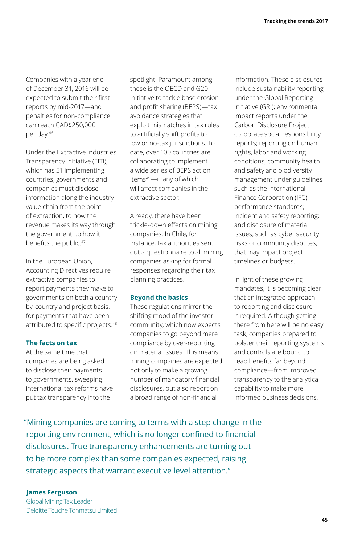Companies with a year end of December 31, 2016 will be expected to submit their first reports by mid-2017—and penalties for non-compliance can reach CAD\$250,000 per day.<sup>46</sup>

Under the Extractive Industries Transparency Initiative (EITI), which has 51 implementing countries, governments and companies must disclose information along the industry value chain from the point of extraction, to how the revenue makes its way through the government, to how it benefits the public.<sup>47</sup>

In the European Union, Accounting Directives require extractive companies to report payments they make to governments on both a countryby-country and project basis, for payments that have been attributed to specific projects.<sup>48</sup>

#### **The facts on tax**

At the same time that companies are being asked to disclose their payments to governments, sweeping international tax reforms have put tax transparency into the

spotlight. Paramount among these is the OECD and G20 initiative to tackle base erosion and profit sharing (BEPS)—tax avoidance strategies that exploit mismatches in tax rules to artificially shift profits to low or no-tax jurisdictions. To date, over 100 countries are collaborating to implement a wide series of BEPS action items49—many of which will affect companies in the extractive sector.

Already, there have been trickle-down effects on mining companies. In Chile, for instance, tax authorities sent out a questionnaire to all mining companies asking for formal responses regarding their tax planning practices.

#### **Beyond the basics**

These regulations mirror the shifting mood of the investor community, which now expects companies to go beyond mere compliance by over-reporting on material issues. This means mining companies are expected not only to make a growing number of mandatory financial disclosures, but also report on a broad range of non-financial

information. These disclosures include sustainability reporting under the Global Reporting Initiative (GRI); environmental impact reports under the Carbon Disclosure Project; corporate social responsibility reports; reporting on human rights, labor and working conditions, community health and safety and biodiversity management under guidelines such as the International Finance Corporation (IFC) performance standards; incident and safety reporting; and disclosure of material issues, such as cyber security risks or community disputes, that may impact project timelines or budgets.

In light of these growing mandates, it is becoming clear that an integrated approach to reporting and disclosure is required. Although getting there from here will be no easy task, companies prepared to bolster their reporting systems and controls are bound to reap benefits far beyond compliance—from improved transparency to the analytical capability to make more informed business decisions.

"Mining companies are coming to terms with a step change in the reporting environment, which is no longer confined to financial disclosures. True transparency enhancements are turning out to be more complex than some companies expected, raising strategic aspects that warrant executive level attention."

#### **James Ferguson**

Global Mining Tax Leader Deloitte Touche Tohmatsu Limited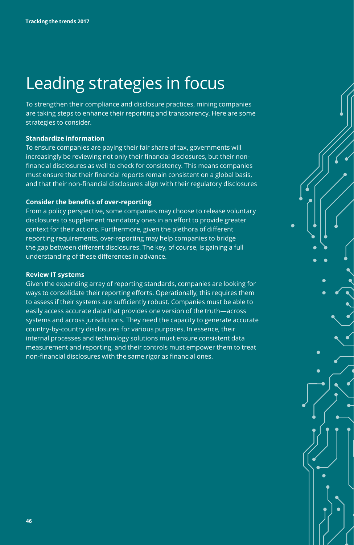## Leading strategies in focus

To strengthen their compliance and disclosure practices, mining companies are taking steps to enhance their reporting and transparency. Here are some strategies to consider.

#### **Standardize information**

To ensure companies are paying their fair share of tax, governments will increasingly be reviewing not only their financial disclosures, but their nonfinancial disclosures as well to check for consistency. This means companies must ensure that their financial reports remain consistent on a global basis, and that their non-financial disclosures align with their regulatory disclosures

#### **Consider the benefits of over-reporting**

From a policy perspective, some companies may choose to release voluntary disclosures to supplement mandatory ones in an effort to provide greater context for their actions. Furthermore, given the plethora of different reporting requirements, over-reporting may help companies to bridge the gap between different disclosures. The key, of course, is gaining a full understanding of these differences in advance.

#### **Review IT systems**

Given the expanding array of reporting standards, companies are looking for ways to consolidate their reporting efforts. Operationally, this requires them to assess if their systems are sufficiently robust. Companies must be able to easily access accurate data that provides one version of the truth—across systems and across jurisdictions. They need the capacity to generate accurate country-by-country disclosures for various purposes. In essence, their internal processes and technology solutions must ensure consistent data measurement and reporting, and their controls must empower them to treat non-financial disclosures with the same rigor as financial ones.

**48**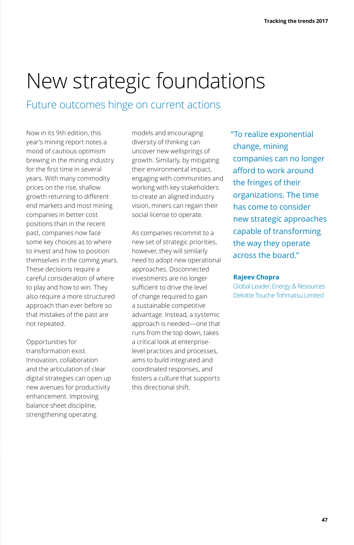# New strategic foundations

#### Future outcomes hinge on current actions

Now in its 9th edition, this year's mining report notes a mood of cautious optimism brewing in the mining industry for the first time in several years. With many commodity prices on the rise, shallow growth returning to different end markets and most mining companies in better cost positions than in the recent past, companies now face some key choices as to where to invest and how to position themselves in the coming years. These decisions require a careful consideration of where to play and how to win. They also require a more structured approach than ever before so that mistakes of the past are not repeated.

Opportunities for transformation exist. Innovation, collaboration and the articulation of clear digital strategies can open up new avenues for productivity enhancement. Improving balance sheet discipline, strengthening operating

models and encouraging diversity of thinking can uncover new wellsprings of growth. Similarly, by mitigating their environmental impact, engaging with communities and working with key stakeholders to create an aligned industry vision, miners can regain their social license to operate.

As companies recommit to a new set of strategic priorities, however, they will similarly need to adopt new operational approaches. Disconnected investments are no longer sufficient to drive the level of change required to gain a sustainable competitive advantage. Instead, a systemic approach is needed—one that runs from the top down, takes a critical look at enterpriselevel practices and processes, aims to build integrated and coordinated responses, and fosters a culture that supports this directional shift.

"To realize exponential change, mining companies can no longer afford to work around the fringes of their organizations. The time has come to consider new strategic approaches capable of transforming the way they operate across the board."

#### **Rajeev Chopra**

Global Leader, Energy & Resources Deloitte Touche Tohmatsu Limited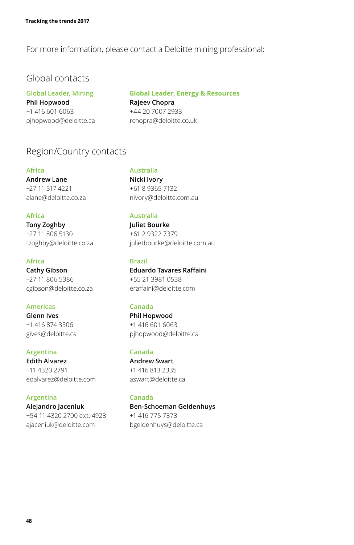For more information, please contact a Deloitte mining professional:

#### Global contacts

**Global Leader, Mining Phil Hopwood** +1 416 601 6063 pjhopwood@deloitte.ca

#### **Global Leader, Energy & Resources**

**Rajeev Chopra** +44 20 7007 2933 rchopra@deloitte.co.uk

#### Region/Country contacts

**Africa Andrew Lane** +27 11 517 4221 alane@deloitte.co.za

**Africa**

**Tony Zoghby** +27 11 806 5130 tzoghby@deloitte.co.za

**Africa**

**Cathy Gibson** +27 11 806 5386 cgibson@deloitte.co.za

**Americas Glenn Ives** +1 416 874 3506 gives@deloitte.ca

**Argentina Edith Alvarez** +11 4320 2791 edalvarez@deloitte.com

**Argentina Alejandro Jaceniuk** +54 11 4320 2700 ext. 4923 ajaceniuk@deloitte.com

**Australia**

**Nicki Ivory** +61 8 9365 7132 nivory@deloitte.com.au

#### **Australia**

**Juliet Bourke** +61 2 9322 7379 julietbourke@deloitte.com.au

**Brazil**

**Eduardo Tavares Raffaini** +55 21 3981 0538 eraffaini@deloitte.com

#### **Canada**

**Phil Hopwood** +1 416 601 6063 pjhopwood@deloitte.ca

#### **Canada**

**Andrew Swart** +1 416 813 2335 aswart@deloitte.ca

#### **Canada**

**Ben-Schoeman Geldenhuys** 

+1 416 775 7373 bgeldenhuys@deloitte.ca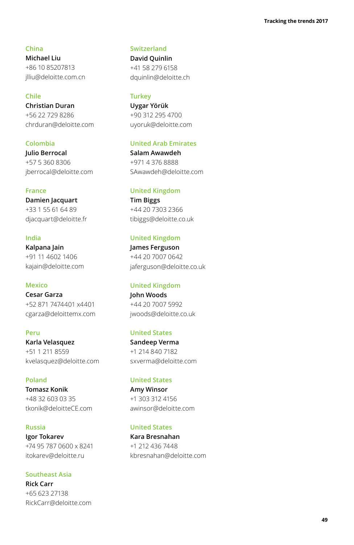**Tracking the trends 2017**

#### **China**

**Michael Liu**  +86 10 85207813 jlliu@deloitte.com.cn

#### **Chile**

**Christian Duran** +56 22 729 8286 chrduran@deloitte.com

#### **Colombia**

**Julio Berrocal** +57 5 360 8306 jberrocal@deloitte.com

#### **France**

**Damien Jacquart** +33 1 55 61 64 89 djacquart@deloitte.fr

#### **India**

**Kalpana Jain** +91 11 4602 1406 kajain@deloitte.com

#### **Mexico**

**Cesar Garza** +52 871 7474401 x4401 cgarza@deloittemx.com

#### **Peru**

**Karla Velasquez** +51 1 211 8559 kvelasquez@deloitte.com

#### **Poland**

**Tomasz Konik** +48 32 603 03 35 tkonik@deloitteCE.com

#### **Russia**

**Igor Tokarev** +74 95 787 0600 x 8241 itokarev@deloitte.ru

#### **Southeast Asia**

**Rick Carr** +65 623 27138 RickCarr@deloitte.com

#### **Switzerland**

**David Quinlin** +41 58 279 6158 dquinlin@deloitte.ch

#### **Turkey**

**Uygar Yörük** +90 312 295 4700 uyoruk@deloitte.com

#### **United Arab Emirates**

**Salam Awawdeh**  +971 4 376 8888 SAwawdeh@deloitte.com

#### **United Kingdom**

**Tim Biggs** +44 20 7303 2366 tibiggs@deloitte.co.uk

#### **United Kingdom**

**James Ferguson**  +44 20 7007 0642 jaferguson@deloitte.co.uk

#### **United Kingdom John Woods**  +44 20 7007 5992 jwoods@deloitte.co.uk

#### **United States**

**Sandeep Verma**  +1 214 840 7182 sxverma@deloitte.com

#### **United States**

**Amy Winsor**  +1 303 312 4156 awinsor@deloitte.com

#### **United States**

**Kara Bresnahan** +1 212 436 7448 kbresnahan@deloitte.com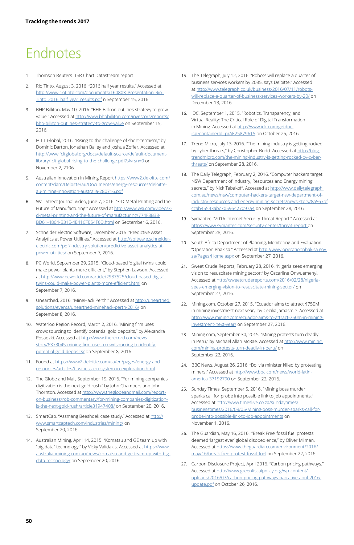### Endnotes

- 1. Thomson Reuters. TSR Chart Datastream report
- 2. Rio Tinto, August 3, 2016. "2016 half year results." Accessed at [http://www.riotinto.com/documents/160803\\_Presentation\\_Rio\\_](http://www.riotinto.com/documents/160803_Presentation_Rio_Tinto_2016_half_year_results.pdf) [Tinto\\_2016\\_half\\_year\\_results.pdf](http://www.riotinto.com/documents/160803_Presentation_Rio_Tinto_2016_half_year_results.pdf) n September 15, 2016.
- 3. BHP Billiton, May 10, 2016. "BHP Billiton outlines strategy to grow value." Accessed at [http://www.bhpbilliton.com/investors/reports/](http://www.bhpbilliton.com/investors/reports/bhp-billiton-outlines-strategy-to-grow-value) [bhp-billiton-outlines-strategy-to-grow-value](http://www.bhpbilliton.com/investors/reports/bhp-billiton-outlines-strategy-to-grow-value) on September 15, 2016.
- 4. FCLT Global, 2016. "Rising to the challenge of short-termism," by Dominic Barton, Jonathan Bailey and Joshua Zoffer. Accessed at [http://www.fcltglobal.org/docs/default-source/default-document](http://www.fcltglobal.org/docs/default-source/default-document-library/fclt-global-rising-to-the-challenge.pdf?sfvrsn=0)[library/fclt-global-rising-to-the-challenge.pdf?sfvrsn=0](http://www.fcltglobal.org/docs/default-source/default-document-library/fclt-global-rising-to-the-challenge.pdf?sfvrsn=0) on November 2, 2106.
- 5. Australian Innovation in Mining Report [https://www2.deloitte.com/](https://www2.deloitte.com/content/dam/Deloitte/au/Documents/energy-resources/deloitte-au-mining-innovation-australia-280716.pdf) [content/dam/Deloitte/au/Documents/energy-resources/deloitte](https://www2.deloitte.com/content/dam/Deloitte/au/Documents/energy-resources/deloitte-au-mining-innovation-australia-280716.pdf)[au-mining-innovation-australia-280716.pdf](https://www2.deloitte.com/content/dam/Deloitte/au/Documents/energy-resources/deloitte-au-mining-innovation-australia-280716.pdf)
- 6. Wall Street Journal Video, June 7, 2016. "3-D Metal Printing and the Future of Manufacturing." Accessed at [http://www.wsj.com/video/3](http://www.wsj.com/video/3-d-metal-printing-and-the-future-of-manufacturing/774F8B33-BD61-4864-B31E-4E41CF054F6D.html) [d-metal-printing-and-the-future-of-manufacturing/774F8B33-](http://www.wsj.com/video/3-d-metal-printing-and-the-future-of-manufacturing/774F8B33-BD61-4864-B31E-4E41CF054F6D.html) [BD61-4864-B31E-4E41CF054F6D.html](http://www.wsj.com/video/3-d-metal-printing-and-the-future-of-manufacturing/774F8B33-BD61-4864-B31E-4E41CF054F6D.html) on September 6, 2016.
- 7. Schneider Electric Software, December 2015. "Predictive Asset Analytics at Power Utilities." Accessed at [http://software.schneider](http://software.schneider-electric.com/pdf/industry-solution/predictive-asset-analytics-at-power-utilities/)[electric.com/pdf/industry-solution/predictive-asset-analytics-at](http://software.schneider-electric.com/pdf/industry-solution/predictive-asset-analytics-at-power-utilities/)[power-utilities/](http://software.schneider-electric.com/pdf/industry-solution/predictive-asset-analytics-at-power-utilities/) on September 7, 2016.
- 8. PC World, September 29, 2015. "Cloud-based 'digital twins' could make power plants more efficient," by Stephen Lawson. Accessed at [http://www.pcworld.com/article/2987525/cloud-based-digital](http://www.pcworld.com/article/2987525/cloud-based-digital-twins-could-make-power-plants-more-efficient.html)[twins-could-make-power-plants-more-efficient.html](http://www.pcworld.com/article/2987525/cloud-based-digital-twins-could-make-power-plants-more-efficient.html) on September 7, 2016.
- 9. Unearthed, 2016. "MineHack Perth." Accessed at [http://unearthed.](http://unearthed.solutions/events/unearthed-minehack-perth-2016/) [solutions/events/unearthed-minehack-perth-2016/](http://unearthed.solutions/events/unearthed-minehack-perth-2016/) on September 8, 2016.
- 10. Waterloo Region Record, March 2, 2016. "Mining firm uses crowdsourcing to identify potential gold deposits," by Alexandra Posadzki. Accessed at [http://www.therecord.com/news](http://www.therecord.com/news-story/6373045-mining-firm-uses-crowdsourcing-to-identify-potential-gold-deposits/)[story/6373045-mining-firm-uses-crowdsourcing-to-identify](http://www.therecord.com/news-story/6373045-mining-firm-uses-crowdsourcing-to-identify-potential-gold-deposits/)[potential-gold-deposits/](http://www.therecord.com/news-story/6373045-mining-firm-uses-crowdsourcing-to-identify-potential-gold-deposits/) on September 8, 2016.
- 11. Found at [https://www2.deloitte.com/ca/en/pages/energy-and](https://www2.deloitte.com/ca/en/pages/energy-and-resources/articles/business-ecosystem-in-exploration.html)[resources/articles/business-ecosystem-in-exploration.html](https://www2.deloitte.com/ca/en/pages/energy-and-resources/articles/business-ecosystem-in-exploration.html)
- 12. The Globe and Mail, September 19, 2016. "For mining companies, digitization is the next gold rush," by John Chambers and John Thornton. Accessed at [http://www.theglobeandmail.com/report](http://www.theglobeandmail.com/report-on-business/rob-commentary/for-mining-companies-digitization-is-the-next-gold-rush/article31947408/)[on-business/rob-commentary/for-mining-companies-digitization](http://www.theglobeandmail.com/report-on-business/rob-commentary/for-mining-companies-digitization-is-the-next-gold-rush/article31947408/)[is-the-next-gold-rush/article31947408/](http://www.theglobeandmail.com/report-on-business/rob-commentary/for-mining-companies-digitization-is-the-next-gold-rush/article31947408/) on September 20, 2016.
- 13. SmartCap. "Assmang Beeshoek case study." Accessed at [http://](http://www.smartcaptech.com/industries/mining/) [www.smartcaptech.com/industries/mining/](http://www.smartcaptech.com/industries/mining/) on September 20, 2016.
- 14. Australian Mining, April 14, 2015. "Komatsu and GE team up with "big data" technology," by Vicky Validakis. Accessed at [https://www.](https://www.australianmining.com.au/news/komatsu-and-ge-team-up-with-big-data-technology/) [australianmining.com.au/news/komatsu-and-ge-team-up-with-big](https://www.australianmining.com.au/news/komatsu-and-ge-team-up-with-big-data-technology/)[data-technology/](https://www.australianmining.com.au/news/komatsu-and-ge-team-up-with-big-data-technology/) on September 20, 2016.
- 15. The Telegraph, July 12, 2016. "Robots will replace a quarter of business services workers by 2035, says Deloitte." Accessed at [http://www.telegraph.co.uk/business/2016/07/11/robots](http://www.telegraph.co.uk/business/2016/07/11/robots-will-replace-a-quarter-of-business-services-workers-by-20/)[will-replace-a-quarter-of-business-services-workers-by-20/](http://www.telegraph.co.uk/business/2016/07/11/robots-will-replace-a-quarter-of-business-services-workers-by-20/) on December 13, 2016.
- 16. IDC, September 1, 2015. "Robotics, Transparency, and Virtual Reality: The Critical Role of Digital Transformation in Mining. Accessed at [http://www.idc.com/getdoc.](http://www.idc.com/getdoc.jsp?containerId=prAE25879615) [jsp?containerId=prAE25879615](http://www.idc.com/getdoc.jsp?containerId=prAE25879615) on October 25, 2016.
- 17. Trend Micro, July 13, 2016. "The mining industry is getting rocked by cyber threats," by Christopher Budd. Accessed at [http://blog.](http://blog.trendmicro.com/the-mining-industry-is-getting-rocked-by-cyber-threats/) [trendmicro.com/the-mining-industry-is-getting-rocked-by-cyber](http://blog.trendmicro.com/the-mining-industry-is-getting-rocked-by-cyber-threats/)[threats/](http://blog.trendmicro.com/the-mining-industry-is-getting-rocked-by-cyber-threats/) on September 28, 2016.
- 18. The Daily Telegraph, February 2, 2016. "Computer hackers target NSW Department of Industry, Resources and Energy mining secrets," by Nick Tabakoff. Accessed at [http://www.dailytelegraph.](http://www.dailytelegraph.com.au/news/nsw/computer-hackers-target-nsw-department-of-industry-resources-and-energy-mining-secrets/news-story/8a567dfccab45543abc70596427097a4) [com.au/news/nsw/computer-hackers-target-nsw-department-of](http://www.dailytelegraph.com.au/news/nsw/computer-hackers-target-nsw-department-of-industry-resources-and-energy-mining-secrets/news-story/8a567dfccab45543abc70596427097a4)[industry-resources-and-energy-mining-secrets/news-story/8a567df](http://www.dailytelegraph.com.au/news/nsw/computer-hackers-target-nsw-department-of-industry-resources-and-energy-mining-secrets/news-story/8a567dfccab45543abc70596427097a4) [ccab45543abc70596427097a4](http://www.dailytelegraph.com.au/news/nsw/computer-hackers-target-nsw-department-of-industry-resources-and-energy-mining-secrets/news-story/8a567dfccab45543abc70596427097a4) on September 28, 2016[.](http://www.wsj.com/articles/chinas-global-mining-play-is-failing-to-pan-out-1410402598)
- 19. Symantec. "2016 Internet Security Threat Report." Accessed at <https://www.symantec.com/security-center/threat-report>on September 28, 2016.
- 20. South Africa Department of Planning, Monitoring and Evaluation. "Operation Phakisa." Accessed at [http://www.operationphakisa.gov.](http://www.operationphakisa.gov.za/Pages/Home.aspx) [za/Pages/Home.aspx](http://www.operationphakisa.gov.za/Pages/Home.aspx) on September 27, 2016.
- 21. Sweet Crude Reports, February 28, 2016. "Nigeria sees emerging vision to resuscitate mining sector," by Oscarline Onwuemenyi. Accessed at [http://sweetcrudereports.com/2016/02/28/nigeria](http://sweetcrudereports.com/2016/02/28/nigeria-sees-emerging-vision-to-resuscitate-mining-sector/)[sees-emerging-vision-to-resuscitate-mining-sector/](http://sweetcrudereports.com/2016/02/28/nigeria-sees-emerging-vision-to-resuscitate-mining-sector/) on September 27, 2016.
- 22. Mining.com, October 27, 2015. "Ecuador aims to attract \$750M in mining investment next year," by Cecilia Jamasmie. Accessed at [http://www.mining.com/ecuador-aims-to-attract-750m-in-mining](http://www.mining.com/ecuador-aims-to-attract-750m-in-mining-investment-next-year/)[investment-next-year/](http://www.mining.com/ecuador-aims-to-attract-750m-in-mining-investment-next-year/) on September 27, 2016.
- 23. Mining.com, September 30, 2015. "Mining protests turn deadly in Peru," by Michael Allan McRae. Accessed at [http://www.mining.](http://www.mining.com/mining-protests-turn-deadly-in-peru/) [com/mining-protests-turn-deadly-in-peru/](http://www.mining.com/mining-protests-turn-deadly-in-peru/) on September 22, 2016.
- 24. BBC News, August 26, 2016. "Bolivia minister killed by protesting miners." Accessed at [http://www.bbc.com/news/world-latin](http://www.bbc.com/news/world-latin-america-37192790)[america-37192790](http://www.bbc.com/news/world-latin-america-37192790) on September 22, 2016.
- 25. Sunday Times, September 5, 2016. "Mining boss murder sparks call for probe into possible link to job appointments." Accessed at [http://www.timeslive.co.za/sundaytimes/](http://www.timeslive.co.za/sundaytimes/businesstimes/2016/09/05/Mining-boss-murder-sparks-call-for-probe-into-possible-link-to-job-appointments) [businesstimes/2016/09/05/Mining-boss-murder-sparks-call-for](http://www.timeslive.co.za/sundaytimes/businesstimes/2016/09/05/Mining-boss-murder-sparks-call-for-probe-into-possible-link-to-job-appointments)[probe-into-possible-link-to-job-appointments](http://www.timeslive.co.za/sundaytimes/businesstimes/2016/09/05/Mining-boss-murder-sparks-call-for-probe-into-possible-link-to-job-appointments) on November 1, 2016.
- 26. The Guardian, May 16, 2016. "'Break Free' fossil fuel protests deemed 'largest ever' global disobedience," by Oliver Milman. Accessed at [https://www.theguardian.com/environment/2016/](https://www.theguardian.com/environment/2016/may/16/break-free-protest-fossil-fuel) [may/16/break-free-protest-fossil-fuel](https://www.theguardian.com/environment/2016/may/16/break-free-protest-fossil-fuel) on September 22, 2016.
- 27. Carbon Disclosure Project, April 2016. "Carbon pricing pathways." Accessed at [http://www.greenfiscalpolicy.org/wp-content/](http://www.greenfiscalpolicy.org/wp-content/uploads/2016/07/carbon-pricing-pathways-narrative-april-2016-update.pdf) [uploads/2016/07/carbon-pricing-pathways-narrative-april-2016](http://www.greenfiscalpolicy.org/wp-content/uploads/2016/07/carbon-pricing-pathways-narrative-april-2016-update.pdf) [update.pdf](http://www.greenfiscalpolicy.org/wp-content/uploads/2016/07/carbon-pricing-pathways-narrative-april-2016-update.pdf) on October 26, 2016.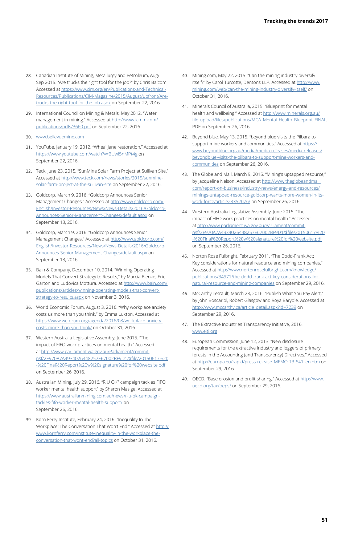- 28. Canadian Institute of Mining, Metallurgy and Petroleum, Aug/ Sep 2015. "Are trucks the right tool for the job?" by Chris Balcom. Accessed at [https://www.cim.org/en/Publications-and-Technical-](https://www.cim.org/en/Publications-and-Technical-Resources/Publications/CIM-Magazine/2015/August/upfront/Are-trucks-the-right-tool-for-the-job.aspx)[Resources/Publications/CIM-Magazine/2015/August/upfront/Are](https://www.cim.org/en/Publications-and-Technical-Resources/Publications/CIM-Magazine/2015/August/upfront/Are-trucks-the-right-tool-for-the-job.aspx)[trucks-the-right-tool-for-the-job.aspx](https://www.cim.org/en/Publications-and-Technical-Resources/Publications/CIM-Magazine/2015/August/upfront/Are-trucks-the-right-tool-for-the-job.aspx) on September 22, 2016.
- 29. International Council on Mining & Metals, May 2012. "Water management in mining." Accessed at [http://www.icmm.com/](http://www.icmm.com/publications/pdfs/3660.pdf) [publications/pdfs/3660.pdf](http://www.icmm.com/publications/pdfs/3660.pdf) on September 22, 2016.
- 30. <www.bellevuemine.com>
- 31. YouTube, January 19, 2012. "Wheal Jane restoration." Accessed at <https://www.youtube.com/watch?v=BUwI5nMPt4g>on September 22, 2016.
- 32. Teck, June 23, 2015. "SunMine Solar Farm Project at Sullivan Site." Accessed at [http://www.teck.com/news/stories/2015/sunmine](http://www.teck.com/news/stories/2015/sunmine-solar-farm-project-at-the-sullivan-site)[solar-farm-project-at-the-sullivan-site](http://www.teck.com/news/stories/2015/sunmine-solar-farm-project-at-the-sullivan-site) on September 22, 2016.
- 33. Goldcorp, March 9, 2016. "Goldcorp Announces Senior Management Changes." Accessed at [http://www.goldcorp.com/](http://www.goldcorp.com/English/Investor-Resources/News/News-Details/2016/Goldcorp-Announces-Senior-Management-Changes/default.aspx) [English/Investor-Resources/News/News-Details/2016/Goldcorp-](http://www.goldcorp.com/English/Investor-Resources/News/News-Details/2016/Goldcorp-Announces-Senior-Management-Changes/default.aspx)[Announces-Senior-Management-Changes/default.aspx](http://www.goldcorp.com/English/Investor-Resources/News/News-Details/2016/Goldcorp-Announces-Senior-Management-Changes/default.aspx) on September 13, 2016.
- 34. Goldcorp, March 9, 2016. "Goldcorp Announces Senior Management Changes." Accessed at [http://www.goldcorp.com/](http://www.goldcorp.com/English/Investor-Resources/News/News-Details/2016/Goldcorp-Announces-Senior-Management-Changes/default.aspx) [English/Investor-Resources/News/News-Details/2016/Goldcorp-](http://www.goldcorp.com/English/Investor-Resources/News/News-Details/2016/Goldcorp-Announces-Senior-Management-Changes/default.aspx)[Announces-Senior-Management-Changes/default.aspx](http://www.goldcorp.com/English/Investor-Resources/News/News-Details/2016/Goldcorp-Announces-Senior-Management-Changes/default.aspx) on September 13, 2016.
- 35. Bain & Company, December 10, 2014. "Winning Operating Models That Convert Strategy to Results," by Marcia Blenko, Eric Garton and Ludovica Mottura. Accessed at [http://www.bain.com/](http://www.bain.com/publications/articles/winning-operating-models-that-convert-strategy-to-results.aspx) [publications/articles/winning-operating-models-that-convert](http://www.bain.com/publications/articles/winning-operating-models-that-convert-strategy-to-results.aspx)[strategy-to-results.aspx](http://www.bain.com/publications/articles/winning-operating-models-that-convert-strategy-to-results.aspx) on November 3, 2016.
- 36. World Economic Forum, August 3, 2016. "Why workplace anxiety costs us more than you think," by Emma Luxton. Accessed at [https://www.weforum.org/agenda/2016/08/workplace-anxiety](https://www.weforum.org/agenda/2016/08/workplace-anxiety-costs-more-than-you-think/)[costs-more-than-you-think/](https://www.weforum.org/agenda/2016/08/workplace-anxiety-costs-more-than-you-think/) on October 31, 2016.
- 37. Western Australia Legislative Assembly, June 2015. "The impact of FIFO work practices on mental health." Accessed at [http://www.parliament.wa.gov.au/Parliament/commit.](http://www.parliament.wa.gov.au/Parliament/commit.nsf/2E970A7A4934026448257E67002BF9D1/$file/20150617%20-%20Final%20Report%20w%20signature%20for%20website.pdf) [nsf/2E970A7A4934026448257E67002BF9D1/\\$file/20150617%20](http://www.parliament.wa.gov.au/Parliament/commit.nsf/2E970A7A4934026448257E67002BF9D1/$file/20150617%20-%20Final%20Report%20w%20signature%20for%20website.pdf) [-%20Final%20Report%20w%20signature%20for%20website.pdf](http://www.parliament.wa.gov.au/Parliament/commit.nsf/2E970A7A4934026448257E67002BF9D1/$file/20150617%20-%20Final%20Report%20w%20signature%20for%20website.pdf) on September 26, 2016.
- 38. Australian Mining, July 29, 2016. "R U OK? campaign tackles FIFO worker mental health support" by Sharon Masige. Accessed at [https://www.australianmining.com.au/news/r-u-ok-campaign](https://www.australianmining.com.au/news/r-u-ok-campaign-tackles-fifo-worker-mental-health-support/)[tackles-fifo-worker-mental-health-support/](https://www.australianmining.com.au/news/r-u-ok-campaign-tackles-fifo-worker-mental-health-support/) on September 26, 2016.
- 39. Korn Ferry Institute, February 24, 2016. "Inequality In The Workplace: The Conversation That Won't End." Accessed at [http://](http://www.kornferry.com/institute/inequality-in-the-workplace-the-conversation-that-wont-end?all-topics) [www.kornferry.com/institute/inequality-in-the-workplace-the](http://www.kornferry.com/institute/inequality-in-the-workplace-the-conversation-that-wont-end?all-topics)[conversation-that-wont-end?all-topics](http://www.kornferry.com/institute/inequality-in-the-workplace-the-conversation-that-wont-end?all-topics) on October 31, 2016.
- 40. Mining.com, May 22, 2015. "Can the mining industry diversify itself?" by Carol Turcotte, Dentons LLP. Accessed at [http://www.](http://www.mining.com/web/can-the-mining-industry-diversify-itself/) [mining.com/web/can-the-mining-industry-diversify-itself/](http://www.mining.com/web/can-the-mining-industry-diversify-itself/) on October 31, 2016.
- 41. Minerals Council of Australia, 2015. "Blueprint for mental health and wellbeing." Accessed at [http://www.minerals.org.au/](http://www.minerals.org.au/file_upload/files/publications/MCA_Mental_Health_Blueprint_FINAL) [file\\_upload/files/publications/MCA\\_Mental\\_Health\\_Blueprint\\_FINAL](http://www.minerals.org.au/file_upload/files/publications/MCA_Mental_Health_Blueprint_FINAL). PDF on September 26, 2016.
- 42. Beyond blue, May 13, 2015. "beyond blue visits the Pilbara to support mine workers and communities." Accessed at [https://](https://www.beyondblue.org.au/media/media-releases/media-releases/beyondblue-visits-the-pilbara-to-support-mine-workers-and-communities) [www.beyondblue.org.au/media/media-releases/media-releases/](https://www.beyondblue.org.au/media/media-releases/media-releases/beyondblue-visits-the-pilbara-to-support-mine-workers-and-communities) [beyondblue-visits-the-pilbara-to-support-mine-workers-and](https://www.beyondblue.org.au/media/media-releases/media-releases/beyondblue-visits-the-pilbara-to-support-mine-workers-and-communities)[communities](https://www.beyondblue.org.au/media/media-releases/media-releases/beyondblue-visits-the-pilbara-to-support-mine-workers-and-communities) on September 26, 2016.
- 43. The Globe and Mail, March 9, 2015. "Mining's uptapped resource," by Jacqueline Nelson. Accessed at http://www.theglobeandmail [com/report-on-business/industry-news/energy-and-resources/](http://www.theglobeandmail.com/report-on-business/industry-news/energy-and-resources/minings-untapped-resource-goldcorp-wants-more-women-in-its-work-force/article23352076/) [minings-untapped-resource-goldcorp-wants-more-women-in-its](http://www.theglobeandmail.com/report-on-business/industry-news/energy-and-resources/minings-untapped-resource-goldcorp-wants-more-women-in-its-work-force/article23352076/)[work-force/article23352076/](http://www.theglobeandmail.com/report-on-business/industry-news/energy-and-resources/minings-untapped-resource-goldcorp-wants-more-women-in-its-work-force/article23352076/) on September 26, 2016.
- 44. Western Australia Legislative Assembly, June 2015. "The impact of FIFO work practices on mental health." Accessed at [http://www.parliament.wa.gov.au/Parliament/commit.](http://www.parliament.wa.gov.au/Parliament/commit.nsf/2E970A7A4934026448257E67002BF9D1/$file/20150617%20-%20Final%20Report%20w%20signature%20for%20website.pdf) [nsf/2E970A7A4934026448257E67002BF9D1/\\$file/20150617%20](http://www.parliament.wa.gov.au/Parliament/commit.nsf/2E970A7A4934026448257E67002BF9D1/$file/20150617%20-%20Final%20Report%20w%20signature%20for%20website.pdf) [-%20Final%20Report%20w%20signature%20for%20website.pdf](http://www.parliament.wa.gov.au/Parliament/commit.nsf/2E970A7A4934026448257E67002BF9D1/$file/20150617%20-%20Final%20Report%20w%20signature%20for%20website.pdf) on September 26, 2016.
- 45. Norton Rose Fulbright, February 2011. "The Dodd-Frank Act: Key considerations for natural resource and mining companies." Accessed at [http://www.nortonrosefulbright.com/knowledge/](http://www.nortonrosefulbright.com/knowledge/publications/34971/the-dodd-frank-act-key-considerations-for-natural-resource-and-mining-companies) [publications/34971/the-dodd-frank-act-key-considerations-for](http://www.nortonrosefulbright.com/knowledge/publications/34971/the-dodd-frank-act-key-considerations-for-natural-resource-and-mining-companies)[natural-resource-and-mining-companies](http://www.nortonrosefulbright.com/knowledge/publications/34971/the-dodd-frank-act-key-considerations-for-natural-resource-and-mining-companies) on September 29, 2016.
- 46. McCarthy Tetrault, March 28, 2016. "Publish What You Pay Alert," by John Boscariol, Robert Glasgow and Roya Baryole. Accessed at [http://www.mccarthy.ca/article\\_detail.aspx?id=7239](http://www.mccarthy.ca/article_detail.aspx?id=7239) on September 29, 2016.
- 47. The Extractive Industries Transparency Initiative, 2016. <www.eiti.org>
- 48. European Commission, June 12, 2013. "New disclosure requirements for the extractive industry and loggers of primary forests in the Accounting (and Transparency) Directives." Accessed at [http://europa.eu/rapid/press-release\\_MEMO-13-541\\_en.htm](http://europa.eu/rapid/press-release_MEMO-13-541_en.htm) on September 29, 2016.
- 49. OECD. "Base erosion and profit sharing." Accessed at [http://www.](http://www.oecd.org/tax/beps/) [oecd.org/tax/beps/](http://www.oecd.org/tax/beps/) on September 29, 2016.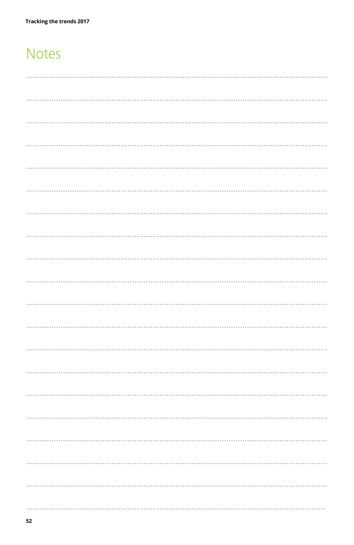### **Notes**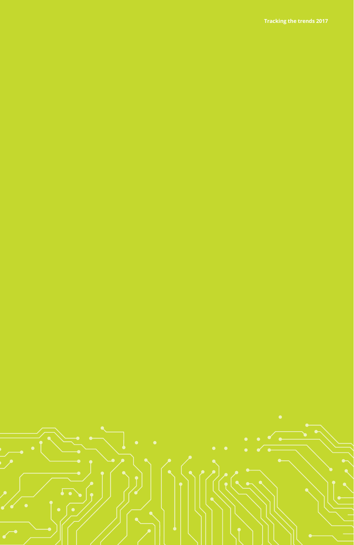